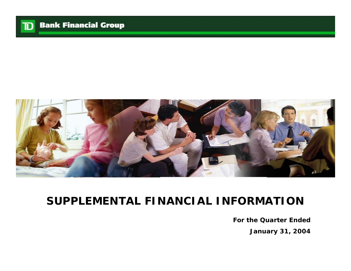

# **SUPPLEMENTAL FINANCIAL INFORMATION**

**For the Quarter EndedJanuary 31, 200 4**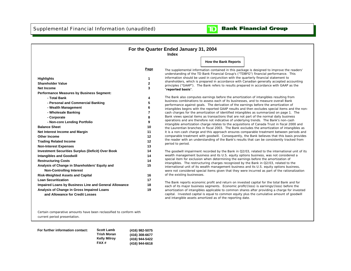

|                                                                                                                                                                                                                                                                                                                                                                                                                                                                                                                                                                                                                                                                                                                                                                                                                                                          |                                                                                                                        | For the Quarter Ended January 31, 2004<br>Index                       |                                                                                                                                                                                                                                                                                                                                                                                                                                                                                                                                                                                                                                                                                                                                                                                                                                                                                                                                                                                                                                                                                                                                                                                                                                                                                                                                                                                                                                                                                                                                                                                                                                                                                                                                                                                                                                                                                                                                                                                                                                                                                                                                                                                                                                                                                                                                                                                                                                                                                                                                                                                                                                                                |
|----------------------------------------------------------------------------------------------------------------------------------------------------------------------------------------------------------------------------------------------------------------------------------------------------------------------------------------------------------------------------------------------------------------------------------------------------------------------------------------------------------------------------------------------------------------------------------------------------------------------------------------------------------------------------------------------------------------------------------------------------------------------------------------------------------------------------------------------------------|------------------------------------------------------------------------------------------------------------------------|-----------------------------------------------------------------------|----------------------------------------------------------------------------------------------------------------------------------------------------------------------------------------------------------------------------------------------------------------------------------------------------------------------------------------------------------------------------------------------------------------------------------------------------------------------------------------------------------------------------------------------------------------------------------------------------------------------------------------------------------------------------------------------------------------------------------------------------------------------------------------------------------------------------------------------------------------------------------------------------------------------------------------------------------------------------------------------------------------------------------------------------------------------------------------------------------------------------------------------------------------------------------------------------------------------------------------------------------------------------------------------------------------------------------------------------------------------------------------------------------------------------------------------------------------------------------------------------------------------------------------------------------------------------------------------------------------------------------------------------------------------------------------------------------------------------------------------------------------------------------------------------------------------------------------------------------------------------------------------------------------------------------------------------------------------------------------------------------------------------------------------------------------------------------------------------------------------------------------------------------------------------------------------------------------------------------------------------------------------------------------------------------------------------------------------------------------------------------------------------------------------------------------------------------------------------------------------------------------------------------------------------------------------------------------------------------------------------------------------------------------|
|                                                                                                                                                                                                                                                                                                                                                                                                                                                                                                                                                                                                                                                                                                                                                                                                                                                          |                                                                                                                        |                                                                       | <b>How the Bank Reports</b>                                                                                                                                                                                                                                                                                                                                                                                                                                                                                                                                                                                                                                                                                                                                                                                                                                                                                                                                                                                                                                                                                                                                                                                                                                                                                                                                                                                                                                                                                                                                                                                                                                                                                                                                                                                                                                                                                                                                                                                                                                                                                                                                                                                                                                                                                                                                                                                                                                                                                                                                                                                                                                    |
| <b>Highlights</b><br><b>Shareholder Value</b><br>Net Income<br><b>Performance Measures by Business Segment:</b><br>- Total Bank<br>- Personal and Commercial Banking<br>- Wealth Management<br>- Wholesale Banking<br>- Corporate<br>- Non-core Lending Portfolio<br><b>Balance Sheet</b><br>Net Interest Income and Margin<br><b>Other Income</b><br><b>Trading Related Income</b><br><b>Non-Interest Expenses</b><br><b>Investment Securities Surplus (Deficit) Over Book</b><br><b>Intangibles and Goodwill</b><br><b>Restructuring Costs</b><br>Analysis of Change in Shareholders' Equity and<br><b>Non-Controlling Interest</b><br><b>Risk-Weighted Assets and Capital</b><br><b>Loan Securitization</b><br>Impaired Loans by Business Line and General Allowance<br>Analysis of Change in Gross Impaired Loans<br>and Allowance for Credit Losses | Page<br>$\mathbf{2}$<br>3<br>5<br>8<br>9<br>10<br>11<br>12<br>12<br>13<br>14<br>14<br>14<br>15<br>16<br>17<br>18<br>19 | "reported basis".<br>period to period.<br>of the existing businesses. | The supplemental information contained in this package is designed to improve the readers'<br>understanding of the TD Bank Financial Group's ("TDBFG") financial performance. This<br>information should be used in conjunction with the quarterly financial statement to<br>shareholders, which is prepared in accordance with Canadian generally accepted accounting<br>principles ("GAAP"). The Bank refers to results prepared in accordance with GAAP as the<br>The Bank also computes earnings before the amortization of intangibles resulting from<br>business combinations to assess each of its businesses, and to measure overall Bank<br>performance against goals. The derivation of the earnings before the amortization of<br>intangibles begins with the reported GAAP results and then excludes special items and the non-<br>cash charges for the amortization of identified intangibles as summarized on page 1. The<br>Bank views special items as transactions that are not part of the normal daily business<br>operations and are therefore not indicative of underlying trends. The Bank's non-cash<br>intangible amortization charge relates to the acquisitions of Canada Trust in fiscal 2000 and<br>the Laurentian branches in fiscal 2003. The Bank excludes the amortization of intangibles as<br>it is a non-cash charge and this approach ensures comparable treatment between periods and<br>comparable treatment with goodwill. Consequently, the Bank believes that this basis provides<br>the reader with an understanding of the Bank's results that can be consistently tracked from<br>The goodwill impairment recorded by the Bank in Q2/03, related to the international unit of its<br>wealth management business and its U.S. equity options business, was not considered a<br>special item for exclusion when determining the earnings before the amortization of<br>intangibles. The restructuring charges recognized by the Bank in Q2/03, related to the<br>international unit of its wealth management business and its U.S. equity options business,<br>were not considered special items given that they were incurred as part of the rationalization<br>The Bank reports economic profit and return on invested capital for the total Bank and for<br>each of its major business segments. Economic profit/(loss) is earnings/(loss) before the<br>amortization of intangibles applicable to common shares after providing a charge for invested<br>capital. Invested capital is equal to common equity plus the cumulative amount of goodwill<br>and intangible assets amortized as of the reporting date. |

Certain comparative amounts have been reclassified to conform with current period presentation.

**For further information contact: Scott Lamb Trish Moran Kelly Milroy FAX # (416) 982-5075 (416) 308-6677 (416) 944-5422 (416) 944-6618**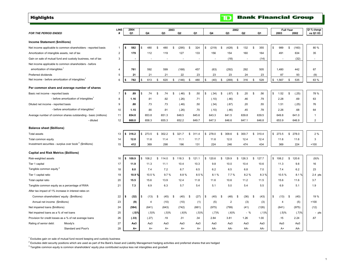<span id="page-2-0"></span>**Highlights** 

#### **LINE 2004 Q1 % change**  *FOR THE PERIOD ENDED* **# Q1 Q4 Q3 Q2 Q1 Q4 Q3 Q2 Q1 2003 2002 vs Q1 03 Income Statement (\$millions)** Net income applicable to common shareholders - reported basis 1 **\$ 582** \\$ 480 \$ 480 \$ (295) \$ 324 \\$ (219) \$ (428) \$ 132 \$ 355 \|\$ 989 \$ (160) \| 80 % Amortization of intangible assets, net of tax **2** 179 112 119 127 133 156 154 160 164 491 634 35 Gain on sale of mutual fund and custody business, net of tax 3 **- 1** - - - - - - - - - - - - (18) - (14) | | - (32) Net income applicable to common shareholders - before amortization of intangibles<sup>1</sup> 4 **1 761** 592 599 (168) 457 (63) (292) 292 505 1,1480 442 67 Preferred dividends 5 **21** 21 21 22 23 23 23 24 23 87 93 (9) Net income - before amortization of intangibles<sup>1</sup> 6 **6 \$782 \$613 \$620 \$(146) \$480 \$400 \$(269) \$316 \$528 | \$1,567 \$535 | 63% Per common share and average number of shares** Basic net income - reported basis 7 **\$ .89** \$ .74 .74 \$ (.46) \$ .50 \$ (.34) \$ (.67) \$ .20 \$ .56 \$ 1.52 \$ (.25) \$ 78 % - before amortization of intangibles 1 8 **1.16** .92 .91 (.26) .71 (.10) (.46) .46 .79 2.28 .69 <sup>63</sup> Diluted net income - reported basis 9 **.88** .73 .73 (.46) .50 (.34) (.67) .20 .55 1.51 (.25) 76 - before amortization of intangibles 1 10 **1.15** .91 .90 (.26) .70 (.10) (.46) .45 .78 2.26 .68 <sup>64</sup> Average number of common shares outstanding - basic (millions) 11 **654.8** 651.3 653.8 648.5 645.6 643.3 641.5 639.8 639.5 649.8 641.0 1 - diluted the contract of the contract of the diluted to  $\sim$  12  $\,$  **660.0** 655.3 658.3 652.2 649.7 647.3 646.6 647.1 646.8 653.9 646.9 2 **Balance sheet (\$billions)** Total assets 13 **\$ 316.2** \$ 302.2 273.5 \$ 321.7 \$ 311.4 \$ 278.0 \$ 309.6 \$ 300.7 \$ 310.4 \$ 273.5 \$ 278.0 \$ 2 % Total common equity 14 **12.0** 11.4 11.6 11.1 11.7 11.6 12.0 12.4 12.4 11.6 11.6 3 Investment securities - surplus over book  $2$  (\$millions) 15 **412** 298 369 196 131 224 246 474 434 369 224 +100 **Capital and Risk Metrics (\$billions)** Risk-weighted assets 16 **| \$ 109.9 |** \$ 108.2 \$ 114.0 \$ 121.3 \$ 121.1 | \$ 129.6 \$ 129.9 \$ 126.7 | | \$ 108.2 \$ 120.6 | | (9)% Tier 1 capital 17 **11.9** 11.1 11.3 10.4 10.3 9.8 10.0 10.4 10.6 11.3 9.8 16 Tangible common equity 3 <sup>18</sup> **8.0** 7.2 7.4 6.7 6.5 6.2 6.5 6.8 7.0 7.4 6.2 <sup>23</sup> Tier 1 capital ratio 19 **10.9 %** 10.5 % 9.7 % 8.8 % 8.5 % 8.1 % 7.7 % 8.2 % 8.3 % 10.5 % 8.1 % 2.4 pts Total capital ratio 20 **15.5** 13.9 15.6 12.4 11.8 11.6 10.6 11.2 11.5 15.6 11.6 3.7 Tangible common equity as a percentage of RWA 21 7.3 6.9 6.3 5.7 5.4 5.1 5.0 5.4 5.5 6.9 5.1 1.9 After tax impact of 1% increase in interest rates on Common shareholders' equity (\$millions) 22 **\$ (32)** \$ (45) (13) \$ (40) \$ (27) \$ (40) \$ (48) \$ (36) \$ (43) \$ (13) \$ (40) \$ 19 % Annual net income (\$millions) 23 **(9)** (10) 4 (10) (1) (5) 2 (3) (3) 4 (5) +100 Net impaired loans (\$millions) 24 **(584)** (643) (641) (742) (661) (975) (799) (41) (126) (641) (975) (12) Net impaired loans as a % of net loans 25 **(.5)%** (.5)% (.5)% (.6)% (.5)% (.7)% (.6)% - % (.1)% (.5)% (.7)% - pts Provision for credit losses as a % of net average loans 26 **(.33)** .19 (.27) .31 .34 2.84 3.81 1.26 1.00 .15 2.24 .67 Rating of senior debt: Moody's 27 **Aa3** Aa3 Aa3 Aa3 Aa3 Aa3 Aa3 Aa3 Aa3 Aa3 Aa3 **2003 2002 Full Year**

**A+** A+ A+ A+ A+ AA- AA- AA- AA- A+ AA-

 $1$  Excludes gain on sale of mutual fund record keeping and custody business

<sup>2</sup> Excludes debt security positions which are used as part of the Bank's Asset and Liability Management hedging activities and preferred shares that are hedged

 $3$  Tangible common equity is common shareholders' equity plus contributed surplus less net intangibles and goodwill

Standard and Poor's 28

#### **Bank Financial Group**

 $\overline{\mathbf{D}}$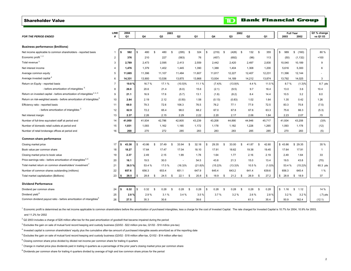#### <span id="page-3-0"></span>Shareholder Value

|                                                                                    | <b>LINE</b>    | 2004           |     |        |      |        | 2003 |            |          |         |          |            |              | 2002                     |                |    |        |    | <b>Full Year</b> |                      | Q1 % change    |
|------------------------------------------------------------------------------------|----------------|----------------|-----|--------|------|--------|------|------------|----------|---------|----------|------------|--------------|--------------------------|----------------|----|--------|----|------------------|----------------------|----------------|
| <b>FOR THE PERIOD ENDED</b>                                                        |                | Q <sub>1</sub> |     | Q4     |      | Q3     |      | Q2         |          | Q1      |          | Q4         |              | Q3                       | Q <sub>2</sub> |    | Q1     |    | 2003             | 2002                 | vs Q1 03       |
|                                                                                    |                |                |     |        |      |        |      |            |          |         |          |            |              |                          |                |    |        |    |                  |                      |                |
| <b>Business performance (\$millions)</b>                                           |                |                |     |        |      |        |      |            |          |         |          |            |              |                          |                |    |        |    |                  |                      |                |
| Net income applicable to common shareholders - reported basis                      | $\mathbf{1}$   | 582            | \$  | 480    | -S   | 480    | \$   | (295)      | -S       | 324     | S        | (219)      | \$           | (428)<br>$\mathbf s$     | 132            | \$ | 355    | s. | 989              | \$<br>(160)          | 80%            |
| Economic profit $1, 2$                                                             | $\overline{2}$ | 376            |     | 210    |      | 227    |      | (563)      |          | 76      |          | (457)      |              | (692)                    | (96)           |    | 113    |    | (50)             | (1, 132)             | $+100$         |
| Total revenue <sup>3</sup>                                                         | 3              | 2,789          |     | 2,473  |      | 2,595  |      | 2,413      |          | 2,559   |          | 2,442      |              | 2,420                    | 2,497          |    | 2,830  |    | 10,040           | 10,189               | 9              |
| Net interest income                                                                | 4              | 1,476          |     | 1,379  |      | 1,402  |      | 1,445      |          | 1,390   |          | 1,388      |              | 1,404                    | 1,308          |    | 1,200  |    | 5,616            | 5,300                | 6              |
| Average common equity                                                              | 5              | 11,665         |     | 11,396 |      | 11,107 |      | 11,484     |          | 11,607  |          | 11,817     |              | 12,227                   | 12,407         |    | 12,231 |    | 11,396           | 12,144               |                |
| Average invested capital 4                                                         | 6              | 14,331         |     | 13,900 |      | 13,536 |      | 13,875     |          | 13,868  |          | 13,934     |              | 14,189                   | 14,212         |    | 13,874 |    | 13,792           | 14,025               | 3              |
| Return on Equity - reported basis                                                  | $\overline{7}$ | 19.8%          |     | 16.7%  |      | 17.1%  |      | $(10.5)\%$ |          | 11.1 %  |          | (7.4)%     |              | (13.9)%                  | 4.4 %          |    | 11.5 % |    | 8.7%             | (1.3)%               | 8.7 pts        |
| - before amortization of intangibles <sup>5</sup>                                  | 8              | 26.0           |     | 20.6   |      | 21.4   |      | (6.0)      |          | 15.6    |          | (2.1)      |              | (9.5)                    | 9.7            |    | 16.4   |    | 13.0             | 3.6                  | 10.4           |
| Return on invested capital - before amortization of intangibles <sup>2, 4, 5</sup> | 9              | 21.1           |     | 16.9   |      | 17.6   |      | (5.7)      |          | 13.1    |          | (1.8)      |              | (8.2)                    | 8.4            |    | 14.4   |    | 10.5             | 3.2                  | 8.0            |
| Return on risk-weighted assets - before amortization of intangibles <sup>5</sup>   | 10             | 2.84           |     | 2.19   |      | 2.12   |      | (0.50)     |          | 1.58    |          | (0.13)     |              | (0.83)                   | 1.02           |    | 1.64   |    | 1.35             | 0.42                 | 1.26           |
| Efficiency ratio - reported basis                                                  | 11             | 69.0           |     | 79.3   |      | 72.6   |      | 106.3      |          | 76.5    |          | 76.2       |              | 77.1                     | 77.9           |    | 72.5   |    | 83.3             | 75.8                 | (7.5)          |
| - before amortization of intangibles <sup>3</sup>                                  | 12             | 62.9           |     | 72.2   |      | 65.4   |      | 98.0       |          | 68.2    |          | 67.0       |              | 67.8                     | 67.6           |    | 63.3   |    | 75.6             | 66.3                 | (5.3)          |
| Net interest margin                                                                | 13             | 2.37           |     | 2.26   |      | 2.15   |      | 2.29       |          | 2.22    |          | 2.20       |              | 2.17                     | 2.06           |    | 1.84   |    | 2.23             | 2.07                 | .15            |
| Number of full-time equivalent staff at period end                                 | 14             | 41.950         |     | 41.934 |      | 42.786 |      | 42.805     |          | 43.239  |          | 43.208     |              | 44.890                   | 44.946         |    | 45.717 |    | 41,934           | 43.208               | (3)%           |
| Number of domestic retail outlets at period end                                    | 15             | 1.031          |     | 1,093  |      | 1,162  |      | 1,165      |          | 1.172   |          | 1.178      |              | 1.182                    | 1,228          |    | 1,265  |    | 1,093            | 1,178                | (12)           |
| Number of retail brokerage offices at period end                                   | 16             | 268            |     | 270    |      | 272    |      | 285        |          | 283     |          | 283        |              | 283                      | 285            |    | 285    |    | 270              | 283                  | (5)            |
|                                                                                    |                |                |     |        |      |        |      |            |          |         |          |            |              |                          |                |    |        |    |                  |                      |                |
| Common share performance                                                           |                |                |     |        |      |        |      |            |          |         |          |            |              |                          |                |    |        |    |                  |                      |                |
| Closing market price                                                               | 17             | 43.38          | \$  | 43.86  | S.   | 37.49  | \$   | 33.94      | <b>S</b> | 32.18   | <b>S</b> | 29.35      | $\mathbf{s}$ | 33.00<br>$\mathbf{s}$    | 41.87          | S. | 42.60  |    | \$43.86          | \$29.35              | 35 %           |
| Book value per common share                                                        | 18             | 18.27          |     | 17.64  |      | 17.47  |      | 17.04      |          | 18.10   |          | 17.91      |              | 18.62                    | 19.38          |    | 19.45  |    | 17.64            | 17.91                | $\overline{1}$ |
| Closing market price to book value                                                 | 19             | 2.37           |     | 2.49   |      | 2.15   |      | 1.99       |          | 1.78    |          | 1.64       |              | 1.77                     | 2.16           |    | 2.19   |    | 2.49             | 1.64                 | 33             |
| Price earnings ratio - before amortization of intangibles <sup>5, 6</sup>          | 20             | 16.1           |     | 19.5   |      | 30.0   |      | $\sim$     |          | 54.5    |          | 43.8       |              | 21.3                     | 15.0           |    | 13.4   |    | 19.5             | 43.8                 | (70)           |
| Total market return on common shareholders' investment <sup>7</sup>                | 21             | 38.5%          |     | 53.4 % |      | 17.0%  |      | $(16.3)\%$ |          | (21.8)% |          | $(15.2)\%$ |              | $(13.3)\%$               | 10.5%          |    | (1.0)% |    | 53.4 %           | $(15.2)\%$           | 60.3 pts       |
| Number of common shares outstanding (millions)                                     | 22             | 657.6          |     | 656.3  |      | 653.4  |      | 651.1      |          | 647.9   |          | 645.4      |              | 643.2                    | 641.4          |    | 639.6  |    | 656.3            | 645.4                | 1 %            |
| Total market capitalization (\$billions)                                           | 23             | 28.5           | \$. | 28.8   | - \$ | 24.5   | \$   | 22.1       | \$       | 20.8    | \$       | 18.9       | \$           | 21.2<br>- \$             | 26.9           | \$ | 27.2   |    | \$28.8           | 18.9<br>\$           | 37             |
| <b>Dividend Performance</b>                                                        |                |                |     |        |      |        |      |            |          |         |          |            |              |                          |                |    |        |    |                  |                      |                |
| Dividend per common share                                                          | 24             | 0.32           | \$  | 0.32   | -S   | 0.28   | - \$ | 0.28       | -\$      | 0.28    | \$       | 0.28       | - \$         | 0.28<br>-S               | 0.28           | \$ | 0.28   |    | \$1.16           | $\mathbb{S}$<br>1.12 | 14 %           |
| Dividend yield <sup>8</sup>                                                        | 25             | 2.8%           |     | 2.9%   |      | 3.1%   |      | 3.4%       |          | 3.5%    |          | 3.7%       |              | 3.2%                     | 2.6%           |    | 2.8%   |    | 3.2%             | 3.2%                 | $(.7)$ pts     |
| Common dividend payout ratio - before amortization of intangibles <sup>3</sup>     | 26             | 27.5           |     | 35.3   |      | 30.6   |      | $\sim$     |          | 39.6    |          |            |              | $\overline{\phantom{a}}$ | 61.3           |    | 35.4   |    | 50.9             | 162.4                | (12.1)         |
|                                                                                    |                |                |     |        |      |        |      |            |          |         |          |            |              |                          |                |    |        |    |                  |                      |                |

<sup>1</sup> Economic profit is determined as the net income applicable to common shareholders before the amortization of purchased intangibles, less a charge for the cost of Invested Capital. The rate charged for Invested Capital and 11.2% for 2002

 $2$  Q2 2003 includes a charge of \$26 million after-tax for the past amortization of goodwill that became impaired during the period

 $3$  Excludes the gain on sale of mutual fund record keeping and custody business (Q3/02 - \$22 million pre-tax, Q1/02 - \$18 million pre-tax)

4 Invested capital is common shareholders' equity plus the cumulative after-tax amount of purchased intangible assets amortized as of the reporting date

5 Excludes the gain on sale of mutual fund record keeping and custody business (Q3/02 - \$18 million after-tax, Q1/02 - \$14 million after-tax)

<sup>6</sup> Closing common share price divided by diluted net income per common share for trailing 4 quarters

 $^7$  Change in market price plus dividends paid in trailing 4 quarters as a percentage of the prior year's closing market price per common share

<sup>8</sup> Dividends per common share for trailing 4 quarters divided by average of high and low common share prices for the period

**Bank Financial Group** 

TD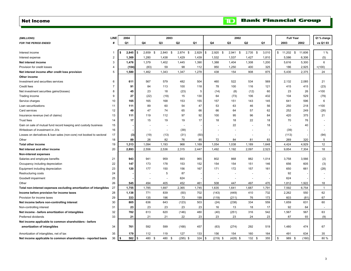#### <span id="page-4-0"></span>Net Income

| (\$MILLIONS)                                                         | LINE           | 2004                                    |          |            | 2003           |                |       |            |            | 2002          |            |       | <b>Full Year</b> |        | Q1 % change    |
|----------------------------------------------------------------------|----------------|-----------------------------------------|----------|------------|----------------|----------------|-------|------------|------------|---------------|------------|-------|------------------|--------|----------------|
| <b>FOR THE PERIOD ENDED</b>                                          | #              | Q1                                      | Q4       |            | Q <sub>3</sub> | Q <sub>2</sub> | Q1    |            | Q4         | Q3            | Q2         | Q1    | 2003             | 2002   | vs Q1 03       |
|                                                                      |                |                                         |          |            |                |                |       |            |            |               |            |       |                  |        |                |
| Interest income                                                      | -1             | 2,845                                   | <b>S</b> | $2,659$ \$ | 2,840<br>-S    | $2,874$ \$     | 2,829 | \$         | $2,920$ \$ | 2,941<br>- \$ | $2,735$ \$ | 3,010 | \$<br>11,202 \$  | 11,606 | 1%             |
| Interest expense                                                     | $\overline{2}$ | 1,369                                   | 1,280    |            | 1,438          | 1,429          | 1,439 |            | 1,532      | 1,537         | 1,427      | 1,810 | 5,586            | 6,306  | (5)            |
| Net interest income                                                  | 3              | 1,476                                   | 1,379    |            | 1,402          | 1,445          | 1,390 |            | 1,388      | 1,404         | 1,308      | 1,200 | 5,616            | 5,300  | 6              |
| Provision for credit losses                                          | $\overline{4}$ | (104)                                   |          | (83)       | 59             | 98             | 112   |            | 950        | 1,250         | 400        | 325   | 186              | 2,925  | $+(100)$       |
| Net interest income after credit loss provision                      | 5              | 1,580                                   | 1,462    |            | 1,343          | 1,347          | 1,278 |            | 438        | 154           | 908        | 875   | 5,430            | 2,375  | 24             |
| Other income                                                         |                |                                         |          |            |                |                |       |            |            |               |            |       |                  |        |                |
| Investment and securities services                                   | 6              | 611                                     | 567      |            | 579            | 482            | 504   |            | 460        | 522           | 534        | 569   | 2,132            | 2,085  | 21             |
| Credit fees                                                          | $\overline{7}$ | 91                                      |          | 84         | 113            | 100            | 118   |            | 78         | 100           | 116        | 121   | 415              | 415    | (23)           |
| Net investment securities gains/(losses)                             | 8              | 45                                      |          | 23         | 18             | (23)           | 5     |            | (14)       | (8)           | (12)       | 60    | 23               | 26     | $+100$         |
| Trading income                                                       | 9              | 27                                      |          | (22)       | (19)           | 15             | 130   |            | 64         | (73)          | 106        | 432   | 104              | 529    | (79)           |
| Service charges                                                      | 10             | 165                                     |          | 165        | 168            | 153            | 155   |            | 157        | 151           | 143        | 145   | 641              | 596    | 6              |
| Loan securitizations                                                 | 11             | 111                                     |          | 89         | 60             | 54             | 47    |            | 53         | 63            | 46         | 56    | 250              | 218    | $+100$         |
| Card services                                                        | 12             | 49                                      |          | 47         | 74             | 65             | 66    |            | 66         | 64            | 57         | 62    | 252              | 249    | (26)           |
| Insurance revenue (net of claims)                                    | 13             | 111                                     |          | 119        | 112            | 97             | 92    |            | 100        | 95            | 96         | 84    | 420              | 375    | 21             |
| <b>Trust fees</b>                                                    | 14             | 17                                      |          | 15         | 19             | 19             | 17    |            | 18         | 18            | 22         | 18    | 70               | 76     |                |
| Gain on sale of mutual fund record keeping and custody business      | 15             |                                         |          |            |                |                |       |            |            | 22            |            | 18    |                  | 40     |                |
| Writedown of investment in JVs                                       | 16             |                                         |          |            |                | (39)           |       |            |            |               |            |       | (39)             |        |                |
| Losses on derivatives & loan sales (non-core) not booked to sectoral | 17             | (3)                                     |          | (19)       | (13)           | (31)           | (50)  |            |            |               |            |       | (113)            |        | (94)           |
| Other                                                                | 18             | 89                                      |          | 26         | 82             | 76             | 85    |            | 72         | 84            | 81         | 83    | 269              | 320    | 5              |
| <b>Total other income</b>                                            | 19             | 1,313                                   | 1,094    |            | 1,193          | 968            | 1,169 |            | 1,054      | 1,038         | 1,189      | 1,648 | 4,424            | 4,929  | 12             |
| Net interest and other income                                        | 20             | 2,893                                   | 2,556    |            | 2,536          | 2,315          | 2,447 |            | 1,492      | 1,192         | 2,097      | 2,523 | 9,854            | 7,304  | 18             |
| <b>Non-interest expenses</b>                                         |                |                                         |          |            |                |                |       |            |            |               |            |       |                  |        |                |
| Salaries and employee benefits                                       | 21             | 943                                     |          | 941        | 959            | 893            | 965   |            | 802        | 868           | 882        | 1,014 | 3,758            | 3,566  | (2)            |
| Occupancy including depreciation                                     | 22             | 147                                     |          | 173        | 178            | 153            | 152   |            | 154        | 154           | 151        | 146   | 656              | 605    | (3)            |
| Equipment including depreciation                                     | 23             | 120                                     |          | 177        | 150            | 156            | 167   |            | 171        | 172           | 157        | 161   | 650              | 661    | (28)           |
| Restructuring costs                                                  | 24             |                                         |          |            | 5              | 87             |       |            |            |               |            |       | 92               |        |                |
| Goodwill impairment                                                  | 25             |                                         |          |            |                | 624            |       |            |            |               |            |       | 624              |        |                |
| Other                                                                | 26             | 545                                     |          | 494        | 405            | 452            | 461   |            | 508        | 447           | 497        | 470   | 1,812            | 1,922  | 18             |
| Total non-interest expenses excluding amortization of intangibles    | 27             | 1,755                                   | 1,785    |            | 1,697          | 2,365          | 1,745 |            | 1,635      | 1,641         | 1,687      | 1,791 | 7,592            | 6,754  | $\overline{1}$ |
| Income before provision for income taxes                             | 28             | 1,138                                   | 771      |            | 839            | (50)           | 702   |            | (143)      | (449)         | 410        | 732   | 2,262            | 550    | 62             |
| Provision for income taxes                                           | 29             | 333                                     |          | 135        | 196            | 73             | 199   |            | (119)      | (211)         | 76         | 173   | 603              | (81)   | 67             |
| Net income before non-controlling interest                           | 30             | 805                                     |          | 636        | 643            | (123)          | 503   |            | (24)       | (238)         | 334        | 559   | 1,659            | 631    | 60             |
| Non-controlling interest                                             | 31             | 23                                      |          | 23         | 23             | 23             | 23    |            | 16         | 13            | 18         | 17    | 92               | 64     |                |
| Net income - before amortization of intangibles                      | 32             | 782                                     |          | 613        | 620            | (146)          | 480   |            | (40)       | (251)         | 316        | 542   | 1,567            | 567    | 63             |
| Preferred dividends                                                  | 33             | 21                                      |          | 21         | 21             | 22             | 23    |            | 23         | 23            | 24         | 23    | 87               | 93     | (9)            |
| Net income applicable to common shareholders - before                |                |                                         |          |            |                |                |       |            |            |               |            |       |                  |        |                |
| amortization of intangibles                                          | 34             | 761                                     |          | 592        | 599            | (168)          | 457   |            | (63)       | (274)         | 292        | 519   | 1,480            | 474    | 67             |
| Amortization of intangibles, net of tax                              | 35             | 179                                     |          | 112        | 119            | 127            | 133   |            | 156        | 154           | 160        | 164   | 491              | 634    | 35             |
| Net income applicable to common shareholders - reported basis        | 36             | $582$ $\overline{\phantom{1}5}$<br>- \$ |          | 480 \$     | 480 \$         | $(295)$ \$     | 324   | $\sqrt{3}$ | $(219)$ \$ | $(428)$ \$    | 132S       | 355   | \$<br>989 \$     | (160)  | 80%            |

3

## **TD** Bank Financial Group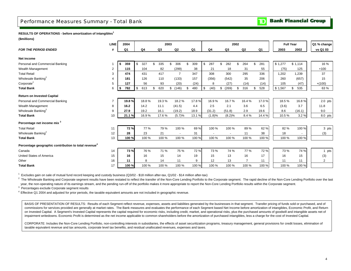### <span id="page-5-0"></span>Performance Measures Summary - Total Bank

#### **RESULTS OF OPERATIONS - before amortization of intangibles<sup>1</sup>**

**(\$millions)**

|                                                                  | LINE           | 2004      |    |       |           | 2003      |                |                |                | 2002           |                |           |         | <b>Full Year</b> |                          | Q1 % change |
|------------------------------------------------------------------|----------------|-----------|----|-------|-----------|-----------|----------------|----------------|----------------|----------------|----------------|-----------|---------|------------------|--------------------------|-------------|
| <b>FOR THE PERIOD ENDED</b>                                      | #              | Q1        |    | Q4    | Q3        | Q2        |                | Q <sub>1</sub> | Q4             | Q <sub>3</sub> | Q2             | Q1        | 2003    |                  | 2002                     | vs Q1 03    |
|                                                                  |                |           |    |       |           |           |                |                |                |                |                |           |         |                  |                          |             |
| Net income                                                       |                |           |    |       |           |           |                |                |                |                |                |           |         |                  |                          |             |
| Personal and Commercial Banking                                  |                | 359<br>Ŝ. | -S | 327   | \$<br>335 | \$<br>306 |                | \$<br>309      | \$<br>287      | \$<br>282      | \$<br>264      | \$<br>281 | \$1,277 |                  | \$1,114                  | 16 %        |
| Wealth Management                                                | $\overline{2}$ | 115       |    | 104   | 82        | (299)     |                | 38             | 21             | 18             | 31             | 55        | (75)    |                  | 125                      | $+100$      |
| <b>Total Retail</b>                                              | 3              | 474       |    | 431   | 417       |           | $\overline{7}$ | 347            | 308            | 300            | 295            | 336       | 1,202   |                  | 1,239                    | 37          |
| Wholesale Banking <sup>2</sup>                                   | 4              | 181       |    | 126   | 110       | (133)     |                | 157            | (356)          | (542)          | 35             | 206       | 260     |                  | (657)                    | 15          |
| Corporate <sup>2</sup>                                           | 5              | 127       |    | 56    | 93        |           | (20)           | (24)           | 8              | (27)           | (14)           | (14)      | 105     |                  | (47)                     | $+(100)$    |
| <b>Total Bank</b>                                                | 6              | 782<br>Ŝ. | \$ | 613   | \$<br>620 | \$(146)   |                | \$<br>480      | \$<br>(40)     | \$<br>(269)    | \$<br>316      | \$<br>528 | \$1,567 | \$               | 535                      | 63 %        |
| <b>Return on Invested Capital</b>                                |                |           |    |       |           |           |                |                |                |                |                |           |         |                  |                          |             |
| Personal and Commercial Banking                                  | $\overline{7}$ | 19.8%     |    | 18.8% | 19.3%     |           | 18.2%          | 17.8%          | 16.9%          | 16.7%          | 16.4%          | 17.0%     | 18.5%   |                  | 16.8%                    | $2.0$ pts   |
| Wealth Management                                                | 8              | 16.2      |    | 14.2  | 11.1      | (41.5)    |                | 4.4            | 2.5            | 2.1            | 3.6            | 6.5       | (3.6)   |                  | 3.7                      | 11.8        |
| Wholesale Banking <sup>2</sup>                                   | 9              | 27.9      |    | 19.2  | 16.1      | (19.2)    |                | 18.9           | (31.2)         | (51.8)         | 2.9            | 19.6      | 8.6     |                  | (16.1)                   | 9.0         |
| <b>Total Bank</b>                                                | 10             | 21.1%     |    | 16.9% | 17.6%     |           | (5.7)%         | 13.1 %         | (1.8)%         | (8.2)%         | 8.4%           | 14.4%     | 10.5%   |                  | 3.2%                     | 8.0 pts     |
| Percentage net income mix <sup>3</sup>                           |                |           |    |       |           |           |                |                |                |                |                |           |         |                  |                          |             |
| <b>Total Retail</b>                                              | 11             | 72%       |    | 77 %  | 79 %      |           | 100 %          | 69%            | 100 %          | 100 %          | 89%            | 62%       | 82%     |                  | 100 %                    | 3 pts       |
| Wholesale Banking <sup>2</sup>                                   | 12             | 28        |    | 23    | 21        |           | $\blacksquare$ | 31             | $\blacksquare$ |                | 11             | 38        | 18      |                  | $\overline{\phantom{a}}$ | (3)         |
| <b>Total Bank</b>                                                | 13             | 100%      |    | 100 % | 100 %     |           | 100 %          | 100 %          | 100 %          | 100 %          | 100 %          | 100 %     | 100 %   |                  | 100 %                    |             |
| Percentage geographic contribution to total revenue <sup>4</sup> |                |           |    |       |           |           |                |                |                |                |                |           |         |                  |                          |             |
| Canada                                                           | 14             | 73%       |    | 76 %  | 71 %      |           | 75 %           | 72 %           | 73 %           | 74 %           | 77 %           | 72%       | 73%     |                  | 74 %                     | 1 pts       |
| <b>United States of America</b>                                  | 15             | 16        |    | 16    | 15        |           | 14             | 19             | 15             | 13             | 16             | 17        | 16      |                  | 15                       | (3)         |
| Other                                                            | 16             | 11        |    | 8     | 14        |           | 11             | 9              | 12             | 13             | $\overline{7}$ | 11        | 11      |                  | 11                       | 2           |
| <b>Total Bank</b>                                                | 17             | 100 %     |    | 100 % | 100 %     |           | 100 %          | 100 %          | 100 %          | 100 %          | 100 %          | 100 %     | 100 %   |                  | 100 %                    |             |

<sup>1</sup> Excludes gain on sale of mutual fund record keeping and custody business (Q3/02 - \$18 million after-tax, Q1/02 - \$14 million after-tax)

 $^2$  The Wholesale Banking and Corporate segment results have been restated to reflect the transfer of the Non-Core Lending Portfolio aver the last Portfolio to the Corporate segment. The rapid decline of the Non-Core Len year, the non-operating nature of its earnings stream, and the pending run-off of the portfolio makes it more appropriate to report the Non-Core Lending Portfolio results within the Corporate segment.

 $3$  Percentages exclude Corporate segment results

<sup>4</sup>Effective Q1 2004 and adjusted for prior periods, the taxable equivalent amounts are not included in geographic revenue.

BASIS OF PRESENTATION OF RESULTS: Results of each Segment reflect revenue, expenses, assets and liabilities generated by the businesses in that segment. Transfer pricing of funds sold or purchased, and of commissions for services provided are generally at market rates. The Bank measures and evaluates the performance of each Segment based Net Income before amortization of intangibles, Economic Profit, and Return on Invested Capital. A Segment's Invested Capital represents the capital required for economic risks, including credit, market, and operational risks, plus the purchased amounts of goodwill and intangible assets net of impairment writedowns. Economic Profit is determined as the net income applicable to common shareholders before the amortization of purchased intangibles, less a charge for the cost of Invested Capital.

CORPORATE: Includes the Non-Core Lending Portfolio, non-controlling interests in subsidiaries, the effects of asset securitization programs, treasury management, general provisions for credit losses, elimination of taxable equivalent revenue and tax amounts, corporate level tax benefits, and residual unallocated revenues, expenses and taxes.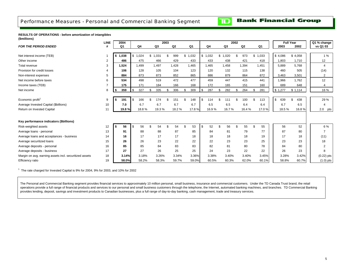## **Bank Financial Group**

 $\mathbf{D}$ 

<span id="page-6-0"></span>**RESULTS OF OPERATIONS - before amortization of intangibles (\$millions)**

|                                                        | <b>LINE</b>    |         | 2004  |           |             | 2003 |       |             |               |       |                |       | 2002 |                |     |       | <b>Full Year</b> |         |       | Q1 % change  |
|--------------------------------------------------------|----------------|---------|-------|-----------|-------------|------|-------|-------------|---------------|-------|----------------|-------|------|----------------|-----|-------|------------------|---------|-------|--------------|
| <b>FOR THE PERIOD ENDED</b>                            | Ħ              |         | Q1    | Q4        | Q3          |      | Q2    | Q1          |               | Q4    |                | Q3    |      | Q <sub>2</sub> |     | Q1    | 2003             |         | 2002  | vs Q1 03     |
|                                                        |                |         |       |           |             |      |       |             |               |       |                |       |      |                |     |       |                  |         |       |              |
| Net interest income (TEB)                              |                | \$1,038 |       | \$1,024   | \$<br>1,031 | \$   | 999   | \$<br>1,032 | \$            | 1,032 | \$             | 1,020 |      | 973            | \$  | 1,033 | \$4,086          | \$4,058 |       | 1%           |
| Other income                                           | $\overline{2}$ |         | 486   | 475       | 466         |      | 429   | 433         |               | 433   |                | 438   |      | 421            |     | 418   | 1,803            |         | 1,710 | 12           |
| Total revenue                                          | 3              |         | 1,524 | 1,499     | 1,497       |      | 1,428 | 1.465       |               | 1,465 |                | 1,458 |      | 1,394          |     | 1,451 | 5,889            |         | 5,768 | 4            |
| Provision for credit losses                            |                |         | 106   | 128       | 105         |      | 104   | 123         |               | 120   |                | 132   |      | 115            |     | 138   | 460              |         | 505   | (14)         |
| Non-interest expenses                                  | 5              |         | 884   | 873       | 873         |      | 852   | 865         |               | 886   |                | 879   |      | 864            |     | 872   | 3,463            |         | 3,501 | 2            |
| Net income before taxes                                | 6              |         | 534   | 498       | 519         |      | 472   | 477         |               | 459   |                | 447   |      | 415            |     | 441   | 1,966            |         | 1,762 | 12           |
| Income taxes (TEB)                                     |                |         | 175   | 171       | 184         |      | 166   | 168         |               | 172   |                | 165   |      | 151            |     | 160   | 689              |         | 648   | 4            |
| Net income                                             | 8              | - \$    | 359   | \$<br>327 | \$<br>335   | \$   | 306   | \$<br>309   | <sup>\$</sup> | 287   | £.             | 282   | \$   | 264            | \$. | 281   | \$1,277          | \$1,114 |       | 16 %         |
|                                                        |                |         |       |           |             |      |       |             |               |       |                |       |      |                |     |       |                  |         |       |              |
| Economic profit <sup>1</sup>                           | 9              |         | 191   | 166       | \$<br>174   |      | 151   | \$<br>148   | \$            | 114   | $\mathfrak{R}$ | 111   |      | 100            |     | 113   | \$<br>639        |         | 438   | 29 %         |
| Average Invested Capital (\$billions)                  | 10             |         | 7.0   | 6.7       | 6.7         |      | 6.7   | 6.7         |               | 6.5   |                | 6.5   |      | 6.4            |     | 6.4   | 6.7              |         | 6.5   | 4            |
| Return on Invested Capital                             | 11             |         | 19.8% | 18.8%     | 19.3%       |      | 18.2% | 17.8%       |               | 16.9% |                | 16.7% |      | 16.4%          |     | 17.0% | 18.5%            |         | 16.8% | $2.0$ pts    |
|                                                        |                |         |       |           |             |      |       |             |               |       |                |       |      |                |     |       |                  |         |       |              |
| Key performance indicators (\$billions)                |                |         |       |           |             |      |       |             |               |       |                |       |      |                |     |       |                  |         |       |              |
| Risk-weighted assets                                   | 12             | - 56    | 56    | 56        | \$<br>54    | \$   | 54    | \$<br>53    | - \$          | 52    | -9             | 56    | \$   | 55             |     | 55    | 56               |         | 52    | 6 %          |
| Average loans - personal                               | 13             |         | 91    | 88        | 88          |      | 87    | 85          |               | 84    |                | 81    |      | 79             |     | 77    | 87               |         | 80    | 7            |
| Average loans and acceptances - business               | 14             |         | 16    | 17        | 17          |      | 17    | 18          |               | 18    |                | 18    |      | 18             |     | 19    | 17               |         | 18    | (11)         |
| Average securitized loans                              | 15             |         | 26    | 26        | 23          |      | 22    | 22          |               | 22    |                | 23    |      | 23             |     | 25    | 23               |         | 23    | 18           |
| Average deposits - personal                            | 16             |         | 85    | 85        | 84          |      | 83    | 83          |               | 82    |                | 81    |      | 80             |     | 78    | 84               |         | 80    | 2            |
| Average deposits - business                            | 17             |         | 27    | 27        | 26          |      | 25    | 25          |               | 24    |                | 23    |      | 22             |     | 22    | 26               |         | 23    | 8            |
| Margin on avg. earning assets incl. securitized assets | 18             |         | 3.14% | 3.18%     | 3.26%       |      | 3.34% | 3.36%       |               | 3.38% |                | 3.40% |      | 3.40%          |     | 3.45% | 3.28%            |         | 3.42% | $(0.22)$ pts |
| Efficiency ratio                                       | 19             |         | 58.0% | 58.2%     | 58.3%       |      | 59.7% | 59.0%       |               | 60.5% |                | 60.3% |      | 62.0%          |     | 60.1% | 58.8%            |         | 60.7% | $(1.0)$ pts  |

 $1$  The rate charged for Invested Capital is 9% for 2004, 9% for 2003, and 10% for 2002

The Personal and Commercial Banking segment provides financial services to approximately 10 million personal, small business, insurance and commercial customers. Under the TD Canada Trust brand, the retail operations provide a full range of financial products and services to our personal and small business customers through the telephone, the Internet, automated banking machines, and branches. TD Commercial Banking provides lending, deposit, savings and investment products to Canadian businesses, plus a full range of day-to-day banking, cash management, trade and treasury services.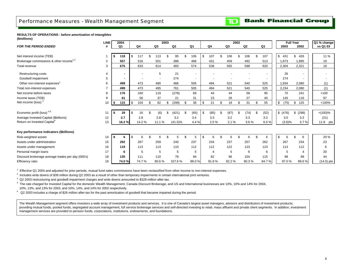## <span id="page-7-0"></span>Performance Measures - Wealth Management Segment

**Bank Financial Group** TD

#### **RESULTS OF OPERATIONS - before amortization of intangibles (\$millions)**

|                                                     | <b>LINE</b> |      | 2004           |          |       |           | 2003 |            |               |                          |    |                |     |                | 2002 |       |                | <b>Full Year</b> |                          | Q1 % change  |
|-----------------------------------------------------|-------------|------|----------------|----------|-------|-----------|------|------------|---------------|--------------------------|----|----------------|-----|----------------|------|-------|----------------|------------------|--------------------------|--------------|
| <b>FOR THE PERIOD ENDED</b>                         |             |      | Q <sub>1</sub> |          | Q4    | Q3        |      | Q2         |               | Q1                       |    | Q4             |     | Q <sub>3</sub> |      | Q2    | Q <sub>1</sub> | 2003             | 2002                     | vs Q1 03     |
|                                                     |             |      |                |          |       |           |      |            |               |                          |    |                |     |                |      |       |                |                  |                          |              |
| Net interest income (TEB)                           |             | \$   | 118            | <b>S</b> | 117   | 113       | \$   | 95         | £.            | 106                      | £. | 107            | \$. | 106            | \$   | 106   | 107            | \$<br>431        | \$<br>426                | 11 %         |
| Brokerage commissions & other income <sup>1,2</sup> | 2           |      | 557            |          | 516   | 501       |      | 388        |               | 468                      |    | 431            |     | 459            |      | 492   | 513            | 1,873            | 1,895                    | 19           |
| Total revenue                                       | 3           |      | 675            |          | 633   | 614       |      | 483        |               | 574                      |    | 538            |     | 565            |      | 598   | 620            | 2,304            | 2,321                    | 18           |
| <b>Restructuring costs</b>                          | 4           |      | ٠              |          |       | 5         |      | 21         |               | $\overline{\phantom{a}}$ |    |                |     |                |      |       |                | 26               |                          |              |
| Goodwill impairment                                 | 5           |      | ٠              |          |       |           |      | 274        |               | $\blacksquare$           |    |                |     |                |      |       |                | 274              | $\overline{\phantom{a}}$ |              |
| Other non-interest expenses <sup>1</sup>            | 6           |      | 499            |          | 473   | 490       |      | 466        |               | 505                      |    | 494            |     | 521            |      | 540   | 525            | 1,934            | 2,080                    | (1)          |
| Total non-interest expenses                         |             |      | 499            |          | 473   | 495       |      | 761        |               | 505                      |    | 494            |     | 521            |      | 540   | 525            | 2,234            | 2,080                    | (1)          |
| Net income before taxes                             | 8           |      | 176            |          | 160   | 119       |      | (278)      |               | 69                       |    | 44             |     | 44             |      | 58    | 95             | 70               | 241                      | $+100$       |
| Income taxes (TEB)                                  | 9           |      | 61             |          | 56    | 37        |      | 21         |               | 31                       |    | 23             |     | 26             |      | 27    | 40             | 145              | 116                      | 97           |
| Net income (loss) <sup>3</sup>                      | 10          | \$   | 115            | \$       | 104   | \$<br>82  | \$   | (299)      | <sup>\$</sup> | 38                       | \$ | 21             |     | 18             | \$   | 31    | 55             | \$<br>(75)       | \$<br>125                | $+100%$      |
|                                                     |             |      |                |          |       |           |      |            |               |                          |    |                |     |                |      |       |                |                  |                          |              |
| Economic profit (loss) <sup>4,5</sup>               | 11          | \$   | 29             | \$       | 16    | \$<br>(6) | \$   | (421)      | £.            | (65)                     | £. | (85)           | \$  | (87)           | \$   | (74)  | (52)           | \$ (476)         | \$ (298)                 | $+(100)\%$   |
| Average Invested Capital (\$billions)               | 12          |      | 2.7            |          | 2.8   | 2.8       |      | 3.2        |               | 3.4                      |    | 3.3            |     | 3.2            |      | 3.3   | 3.3            | 3.0              | 3.3                      | (21)         |
| Return on Invested Capital <sup>5</sup>             | 13          |      | 16.2 %         |          | 14.2% | 11.1%     |      | $(41.5)\%$ |               | 4.4%                     |    | 2.5%           |     | 2.1%           |      | 3.6%  | 6.5%           | $(3.6)\%$        | 3.7%                     | 11.8 pts !   |
|                                                     |             |      |                |          |       |           |      |            |               |                          |    |                |     |                |      |       |                |                  |                          |              |
| Key performance indicators (\$billions)             |             |      |                |          |       |           |      |            |               |                          |    |                |     |                |      |       |                |                  |                          |              |
| Risk-weighted assets                                | 14          | l \$ | 6              | \$       | 6     |           |      |            | \$            | 5                        | \$ | 6              |     | 6              |      | 6     | 6              | \$<br>6          | \$<br>6                  | 20 %         |
| Assets under administration                         | 15          |      | 292            |          | 267   | 259       |      | 240        |               | 237                      |    | 234            |     | 237            |      | 257   | 262            | 267              | 234                      | 23           |
| Assets under management                             | 16          |      | 119            |          | 113   | 113       |      | 110        |               | 112                      |    | 112            |     | 122            |      | 123   | 123            | 113              | 112                      | 6            |
| Personal margin loans                               | 17          |      | 6              |          | 5     | 5         |      | 5          |               | 5                        |    | $\overline{4}$ |     | 5              |      | 6     | 6              | 5                | 4                        | 20           |
| Discount brokerage average trades per day (000's)   | 18          |      | 135            |          | 111   | 110       |      | 78         |               | 94                       |    | 82             |     | 96             |      | 104   | 115            | 98               | 99                       | 44           |
| Efficiency ratio                                    | 19          |      | 74.0 %         |          | 74.7% | 80.6%     |      | 157.6%     |               | 88.0%                    |    | 91.8%          |     | 92.2%          |      | 90.3% | 84.7%          | 97.0%            | 89.6%                    | $(14.0)$ pts |

<sup>1</sup> Effective Q1 2004 and adjusted for prior periods, mutual fund sales commissions have been reclassified from other income to non-interest expenses.

 $^2$  Includes write downs of \$39 million during Q2 2003 as a result of other than temporary impairments in certain international joint ventures.

 $3\,$  Q2 2003 restructuring and goodwill impairment charges and write downs amounted to \$328 million after-tax.

<sup>4</sup> The rate charged for Invested Capital for the domestic Wealth Management, Canada Discount Brokerage, and US and International businesses are 10%, 10% and 14% for 2004, 10%, 13%, and 13% for 2003, and 10%, 14%, and 14% for 2002 respectively.

 $5\,$  Q2 2003 includes a charge of \$26 million after-tax for the past amortization of goodwill that became impaired during the period.

The Wealth Management segment offers investors a wide array of investment products and services. It is one of Canada's largest asset managers, advisors and distributors of investment products; providing mutual funds, pooled funds, segregated account management, full service brokerage services and self-directed investing to retail, mass affluent and private client segments. In addition, investment management services are provided to pension funds, corporations, institutions, endowments, and foundations.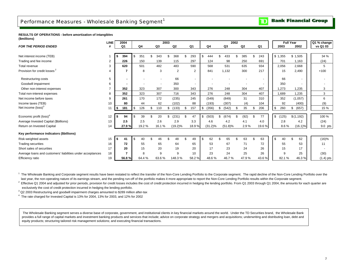## <span id="page-8-0"></span>Performance Measures - Wholesale Banking Segment<sup>1</sup>

**Bank Financial Group** סד

#### **RESULTS OF OPERATIONS - before amortization of intangibles (\$millions)**

|                                                            | <b>LINE</b> | 2004      |           |              | 2003 |            |     |                |             |             | 2002 |       |       | <b>Full Year</b> |             | Q1 % change |  |
|------------------------------------------------------------|-------------|-----------|-----------|--------------|------|------------|-----|----------------|-------------|-------------|------|-------|-------|------------------|-------------|-------------|--|
| <b>FOR THE PERIOD ENDED</b>                                |             | Q1        | Q4        | Q3           |      | Q2         |     | Q1             | Q4          | Q3          |      | Q2    | Q1    | 2003             | 2002        | vs Q1 03    |  |
|                                                            |             |           |           |              |      |            |     |                |             |             |      |       |       |                  |             |             |  |
| Net interest income (TEB)                                  |             | 394       | 351       | 343          | \$   | 368        | \$. | 293            | \$<br>444   | 433         |      | 385   | 243   | \$1,355          | \$1,505     | 34 %        |  |
| Trading and fee income                                     | 2           | 226       | 150       | 139          |      | 115        |     | 297            | 124         | 98          |      | 250   | 691   | 701              | 1,163       | (24)        |  |
| Total revenue                                              | 3           | 620       | 501       | 482          |      | 483        |     | 590            | 568         | 531         |      | 635   | 934   | 2,056            | 2,668       | 5           |  |
| Provision for credit losses <sup>2</sup>                   |             |           | 8         | 3            |      | 2          |     | 2              | 841         | 1,132       |      | 300   | 217   | 15               | 2,490       | $+100$      |  |
| <b>Restructuring costs</b>                                 | 5           |           |           |              |      | 66         |     |                |             |             |      |       |       | 66               |             |             |  |
| Goodwill impairment                                        | 6           |           |           |              |      | 350        |     | $\blacksquare$ |             |             |      |       |       | 350              |             |             |  |
| Other non-interest expenses                                |             | 352       | 323       | 307          |      | 300        |     | 343            | 276         | 248         |      | 304   | 407   | 1,273            | 1,235       | 3           |  |
| Total non-interest expenses                                |             | 352       | 323       | 307          |      | 716        |     | 343            | 276         | 248         |      | 304   | 407   | 1,689            | 1,235       | 3           |  |
| Net income before taxes                                    | 9           | 261       | 170       | 172          |      | (235)      |     | 245            | (549)       | (849)       |      | 31    | 310   | 352              | (1,057)     | 6           |  |
| Income taxes (TEB)                                         | 10          | 80        | 44        | 62           |      | (102)      |     | 88             | (193)       | (307)       |      | (4)   | 104   | 92               | (400)       | (9)         |  |
| Net income (loss) <sup>3</sup>                             | 11          | 181<br>s. | \$<br>126 | \$<br>110    | \$   | (133)      | \$  | 157            | \$<br>(356) | \$<br>(542) |      | 35    | 206   | \$<br>260        | \$<br>(657) | 15 %        |  |
|                                                            |             |           |           |              |      |            |     |                |             |             |      |       |       |                  |             |             |  |
| Economic profit (loss) <sup>4</sup>                        | 12          | 94        | 39        | 20           | \$   | (231)      | -S  | 47             | \$<br>(503) | \$<br>(674) |      | (92)  | 77    | \$ (125)         | \$(1,192)   | 100 %       |  |
| Average Invested Capital (\$billions)                      | 13          | 2.5       | 2.5       | 2.6          |      | 2.9        |     | 3.3            | 4.6         | 4.2         |      | 4.1   | 4.0   | 2.8              | 4.2         | (24)        |  |
| Return on Invested Capital                                 | 14          | 27.9%     | 19.2%     | 16.1%        |      | $(19.2)\%$ |     | 18.9%          | $(31.2)\%$  | (51.8)%     |      | 2.9%  | 19.6% | 8.6%             | $(16.1)\%$  | 9.0 pts     |  |
| Key performance indicators (\$billions)                    |             |           |           |              |      |            |     |                |             |             |      |       |       |                  |             |             |  |
| Risk-weighted assets                                       | 15          | \$<br>41  | \$<br>40  | 46           |      | 48         | \$  | 49             | \$<br>62    | 65          |      | 63    | 63    | \$<br>40         | \$<br>62    | (16)%       |  |
| <b>Trading securities</b>                                  | 16          | 72        | 55        | 65           |      | 64         |     | 65             | 53          | 67          |      | 71    | 72    | 55               | 53          | 11          |  |
| Short sales of securities                                  | 17          | 20        | 15        | 20           |      | 19         |     | 20             | 17          | 23          |      | 24    | 26    | 15               | 17          |             |  |
| Average loans and customers' liabilities under acceptances | 18          |           | 8         | <sub>9</sub> |      | 9          |     | 10             | 23          | 24          |      | 25    | 26    | 9                | 25          | (30)        |  |
| Efficiency ratio                                           | 19          | 56.8%     | 64.4%     | 63.6%        |      | 148.3%     |     | 58.2%          | 48.6%       | 46.7%       |      | 47.9% | 43.6% | 82.1%            | 46.3%       | (1.4) pts   |  |

<sup>1</sup> The Wholesale Banking and Corporate segment results have been restated to reflect the transfer of the Non-Core Lending Portfolio to the Corporate segment. The rapid decline of the Non-Core Lending Portfolio over the last year, the non-operating nature of its earnings stream, and the pending run-off of the portfolio makes it more appropriate to report the Non-Core Lending Portfolio results within the Corporate segment.

 $2$  Effective Q1 2004 and adjusted for prior periods, provision for credit losses includes the cost of credit protection incurred in hedging the lending portfolio. From Q1 2003 through Q1 2004, the amounts for each quarte exclusively the cost of credit protection incurred in hedging the lending portfolio.

 $3$  Q2 2003 Restructuring and goodwill impairment charges amounted to \$289 million after-tax

 $4$  The rate charged for Invested Capital is 13% for 2004, 13% for 2003, and 12% for 2002

The Wholesale Banking segment serves a diverse base of corporate, government, and institutional clients in key financial markets around the world. Under the TD Securities brand. the Wholesale Bank provides a full range of capital markets and investment banking products and services that include; advice on corporate strategy and mergers and acquisitions; underwriting and distributing loan, debt and equity products; structuring tailored risk management solutions; and executing financial transactions.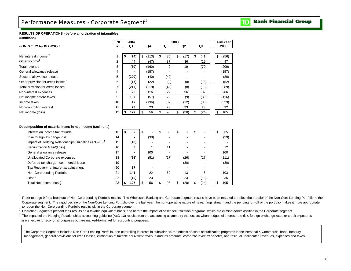## <span id="page-9-0"></span>Performance Measures - Corporate Segment<sup>1</sup>

#### **Bank Financial Group** TD

#### **RESULTS OF OPERATIONS - before amortization of intangibles (\$millions)**

|                                                | <b>LINE</b> | 2004       |             |            | 2003       |                          | <b>Full Year</b> |
|------------------------------------------------|-------------|------------|-------------|------------|------------|--------------------------|------------------|
| <b>FOR THE PERIOD ENDED</b>                    | #           | Q1         | Q4          | Q3         | Q2         | Q1                       | 2003             |
|                                                |             |            |             |            |            |                          |                  |
| Net interest income <sup>2</sup>               |             | \$<br>(74) | \$<br>(113) | \$<br>(85) | \$<br>(17) | \$<br>(41)               | \$<br>(256)      |
| Other Income <sup>2</sup>                      | 2           | 44         | (47)        | 87         | 36         | (29)                     | 47               |
| Total revenue                                  | 3           | (30)       | (160)       | 2          | 19         | (70)                     | (209)            |
| General allowance release                      | 4           |            | (157)       |            |            |                          | (157)            |
| Sectoral allowance release                     | 5           | (200)      | (40)        | (40)       |            | $\overline{\phantom{0}}$ | (80)             |
| Other provision for credit losses <sup>2</sup> | 6           | (17)       | (22)        | (9)        | (8)        | (13)                     | (52)             |
| Total provision for credit losses              | 7           | (217)      | (219)       | (49)       | (8)        | (13)                     | (289)            |
| Non-interest expenses                          | 8           | 20         | 116         | 22         | 36         | 32                       | 206              |
| Net income before taxes                        | 9           | 167        | (57)        | 29         | (9)        | (89)                     | (126)            |
| Income taxes                                   | 10          | 17         | (136)       | (87)       | (12)       | (88)                     | (323)            |
| Non-controlling interest                       | 11          | 23         | 23          | 23         | 23         | 23                       | 92               |
| Net income (loss)                              | 12          | 127<br>\$  | 56<br>S     | 93<br>\$   | \$<br>(20) | \$<br>(24)               | \$<br>105        |

#### **Decomposition of material items in net income (\$millions)**

| 13 | \$   | - \$ |   | 35                                    | S   |      | \$ |      |  | 35    |
|----|------|------|---|---------------------------------------|-----|------|----|------|--|-------|
| 14 | -    |      |   |                                       |     |      |    |      |  | (39)  |
| 15 | (13) |      |   |                                       |     |      |    |      |  |       |
| 16 | 3    |      |   | 11                                    |     |      |    |      |  | 12    |
| 17 |      |      |   |                                       |     |      |    |      |  | 100   |
| 18 | (11) |      |   | (17)                                  |     | (26) |    | (17) |  | (111) |
| 19 |      |      |   |                                       |     | (30) |    |      |  | (30)  |
| 20 | 17   |      |   |                                       |     |      |    |      |  |       |
| 21 | 141  |      |   | 62                                    |     | 13   |    | 6    |  | 103   |
| 22 | (10) |      |   |                                       |     | 23   |    | (13) |  | 35    |
| 23 | 127  |      | ፍ | 93                                    | \$. | (20  | ፍ  | (24) |  | 105   |
|    |      |      |   | (39)<br>100<br>(51)<br>22<br>23<br>56 |     |      |    |      |  |       |

<sup>1</sup> Refer to page 9 for a breakout of Non-Core Lending Portfolio results. The Wholesale Banking and Corporate segment results have been restated to reflect the transfer of the Non-Core Lending Portfolio to the Corporate segment. The rapid decline of the Non-Core Lending Portfolio over the last year, the non-operating nature of its earnings stream, and the pending run-off of the portfolio makes it more appropriate to report the Non-Core Lending Portfolio results within the Corporate segment.

<sup>2</sup> Operating Segments present their results on a taxable equivalent basis, and before the impact of asset securitization programs, which are eliminated/reclassified in the Corporate segment.

<sup>3</sup> The impact of the Hedging Relationships accounting guideline (AcG-13) results from the accounting asymmetry that occurs when hedges of interest rate risk, foreign exchange rates or credit exposures are effective for economic purposes but are marked-to-market for accounting purposes.

The Corporate Segment includes Non-Core Lending Portfolio, non-controlling interests in subsidiaries, the effects of asset securitization programs in the Personal & Commercial bank, treasury management, general provisions for credit losses, elimination of taxable equivalent revenue and tax amounts, corporate level tax benefits, and residual unallocated revenues, expenses and taxes.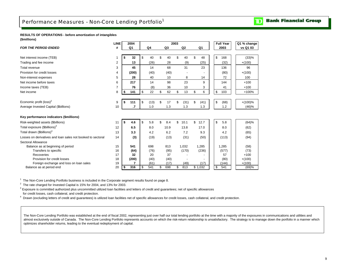#### <span id="page-10-0"></span>**RESULTS OF OPERATIONS - before amortization of intangibles (\$millions)**

|                                                             | <b>LINE</b>    | 2004      |            |           | 2003 |                |            | <b>Full Year</b> | Q1 % change |
|-------------------------------------------------------------|----------------|-----------|------------|-----------|------|----------------|------------|------------------|-------------|
| <b>FOR THE PERIOD ENDED</b>                                 | #              | Q1        | Q4         | Q3        |      | Q <sub>2</sub> | Q1         | 2003             | vs Q1 03    |
|                                                             |                |           |            |           |      |                |            |                  |             |
| Net interest income (TEB)                                   | 1              | \$<br>32  | \$<br>40   | \$<br>40  | \$   | 40             | \$<br>48   | \$<br>168        | (33)%       |
| Trading and fee income                                      | 2              | 13        | (26)       | 28        |      | (9)            | (25)       | (32)             | $+(100)$    |
| Total revenue                                               | 3              | 45        | 14         | 68        |      | 31             | 23         | 136              | 96          |
| Provision for credit losses                                 | 4              | (200)     | (40)       | (40)      |      |                |            | (80)             | $+(100)$    |
| Non-interest expenses                                       | 5              | 28        | 40         | 10        |      | 8              | 14         | 72               | 100         |
| Net income before taxes                                     | 6              | 217       | 14         | 98        |      | 23             | 9          | 144              | $+100$      |
| Income taxes (TEB)                                          | $\overline{7}$ | 76        | (8)        | 36        |      | 10             | 3          | 41               | $+100$      |
| Net income                                                  | 8              | \$<br>141 | \$<br>22   | \$<br>62  | \$   | 13             | \$<br>6    | \$<br>103        | +100%       |
|                                                             |                |           |            |           |      |                |            |                  |             |
| Economic profit $(\text{loss})^2$                           | 9              | \$<br>111 | \$<br>(13) | \$<br>17  | \$   | (31)           | \$<br>(41) | \$<br>(68)       | $+(100)%$   |
| Average Invested Capital (\$billions)                       | 10             | $\cdot$   | 1.0        | 1.3       |      | 1.3            | 1.3        | 1.2              | (46)%       |
|                                                             |                |           |            |           |      |                |            |                  |             |
| Key performance indicators (\$millions)                     |                |           |            |           |      |                |            |                  |             |
| Risk-weighted assets (\$billions)                           | 11             | \$<br>4.6 | \$<br>5.8  | \$<br>8.4 | \$   | 10.1           | \$<br>12.7 | \$<br>5.8        | (64)%       |
| Total exposure (\$billions) <sup>3</sup>                    | 12             | 6.5       | 8.0        | 10.9      |      | 13.8           | 17.0       | 8.0              | (62)        |
| Total drawn (\$billions) <sup>4</sup>                       | 13             | 3.3       | 4.2        | 6.2       |      | 7.2            | 9.3        | 4.2              | (65)        |
| Losses on derivatives and loan sales not booked to sectoral | 14             | (3)       | (19)       | (13)      |      | (31)           | (50)       | (113)            | (94)        |
| Sectoral Allowance                                          |                |           |            |           |      |                |            |                  |             |
| Balance as at beginning of period                           | 15             | 541       | 698        | 813       |      | 1,032          | 1.285      | 1,285            | (58)        |
| Transfers to specific                                       | 16             | (64)      | (76)       | (95)      |      | (170)          | (236)      | (577)            | (73)        |
| Recoveries                                                  | 17             | 32        | 20         | 37        |      |                |            | 57               | $+100$      |
| Provision for credit losses                                 | 18             | (200)     | (40)       | (40)      |      |                |            | (80)             | $+(100)$    |
| Foreign exchange and loss on loan sales                     | 19             | 7         | (61)       | (17)      |      | (49)           | (17)       | (144)            | $+(100)$    |
| Balance as at period end                                    | 20             | \$<br>316 | \$<br>541  | \$<br>698 | \$   | 813            | \$1,032    | 541<br>\$        | (69)%       |

<sup>1</sup> The Non-Core Lending Portfolio business is included in the Corporate segment results found on page 8.

 $2$  The rate charged for Invested Capital is 15% for 2004, and 13% for 2003.

 $^3$  Exposure is committed authorized plus uncommitted utilized loan facilities and letters of credit and guarantees; net of specific allowances

for credit losses, cash collateral, and credit protection.

<sup>4</sup> Drawn (excluding letters of credit and guarantees) is utilized loan facilities net of specific allowances for credit losses, cash collateral, and credit protection.

The Non-Core Lending Portfolio was established at the end of fiscal 2002, representing just over half our total lending portfolio at the time with a majority of the exposures in communications and utilities and almost exclusively outside of Canada. The Non-Core Lending Portfolio represents accounts on which the risk-return relationship is unsatisfactory. The strategy is to manage down the portfolio in a manner which optimizes shareholder returns, leading to the eventual redeployment of capital.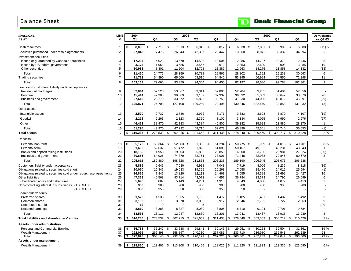## <span id="page-11-0"></span>Balance Sheet

# **TD** Bank Financial Group

| (\$MILLIONS)                                                       | <b>LINE</b>    | 2004            |                  |          | 2003       |                                                        |                |            |            |      |           | 2002 |                                 |               | Q1 % change  |
|--------------------------------------------------------------------|----------------|-----------------|------------------|----------|------------|--------------------------------------------------------|----------------|------------|------------|------|-----------|------|---------------------------------|---------------|--------------|
| AS AT                                                              | #              | Q1              | Q4               |          | Q3         | Q <sub>2</sub>                                         | Q1             |            | Q4         |      | Q3        |      | Q <sub>2</sub>                  | Q1            | vs Q1 03     |
|                                                                    |                |                 |                  |          |            |                                                        |                |            |            |      |           |      |                                 |               |              |
| Cash resources                                                     | $\mathbf 1$    | \$<br>8,065     | l \$             | 7,719 \$ | 7,813 \$   | $6,946$ \$                                             | 9,017          | $\sqrt{3}$ | 6,538 \$   |      | 7,861 \$  |      | 6,999 \$                        | 6,388         | (11)%        |
| Securities purchased under resale agreements                       | $\overline{2}$ | 27,842          | 17,475           |          | 26,643     | 42,397                                                 | 26,447         |            | 13,060     |      | 28,072    |      | 32,332                          | 34,694        | 5            |
| Investment securities                                              |                |                 |                  |          |            |                                                        |                |            |            |      |           |      |                                 |               |              |
| Issued or guaranteed by Canada or provinces                        | 3              | 17,294          | 14,023           |          | 13,570     | 14,503                                                 | 13,504         |            | 12,986     |      | 14,797    |      | 13,372                          | 12,446        | 28           |
| Issued by US federal government                                    | $\overline{4}$ | 3,173           | 1,951            |          | 3,585      | 3,557                                                  | 2,672          |            | 2,853      |      | 2,620     |      | 2,008                           | 3,285         | 19           |
| Other securities                                                   | 5              | 10,983          | 8,801            |          | 11,204     | 12,728                                                 | 13,389         |            | 12,963     |      | 14,275    |      | 13,858                          | 14,332        | (18)         |
| Total                                                              | 6              | 31,450          | 24,775           |          | 28,359     | 30,788                                                 | 29,565         |            | 28,802     |      | 31,692    |      | 29,238                          | 30,063        | 6            |
| <b>Trading securities</b>                                          | $\overline{7}$ | 71,713          | 54,890           |          | 65,000     | 63,516                                                 | 64,840         |            | 53,395     |      | 66,994    |      | 70,550                          | 72,298        | 11           |
| Total                                                              | 8              | 103,163         | 79,665           |          | 93,359     | 94,304                                                 | 94,405         |            | 82,197     |      | 98,686    |      | 99,788                          | 102,361       | 9            |
| Loans and customers' liability under acceptances                   |                |                 |                  |          |            |                                                        |                |            |            |      |           |      |                                 |               |              |
| Residential mortgages                                              | 9              | 52,844          | 52,525           |          | 53,667     | 53,311                                                 | 52,806         |            | 52,784     |      | 53,235    |      | 51,404                          | 52,356        |              |
| Personal                                                           | 10             | 45,414          | 42,908           |          | 39,869     | 39,152                                                 | 37,937         |            | 36,332     |      | 35,389    |      | 35,642                          | 33,579        | 20           |
| Business and government                                            | 11             | 27,613          | 29,270           |          | 33,572     | 36,826                                                 | 38,753         |            | 41,230     |      | 44,025    |      | 43,812                          | 45,997        | (29)         |
| Total                                                              | 12             | 125,871         | 124,703          |          | 127,108    | 129,289                                                | 129,496        |            | 130,346    |      | 132,649   |      | 130,858                         | 131,932       | (3)          |
| Other assets                                                       |                |                 |                  |          |            |                                                        |                |            |            |      |           |      |                                 |               |              |
| Intangible assets                                                  | 13             | 2,570           | 2,737            |          | 2,786      | 2,972                                                  | 3,171          |            | 3,383      |      | 3,608     |      | 3,870                           | 4,107         | (19)         |
| Goodwill                                                           | 14             | 2,272           | 2,263            |          | 2,323      | 2,360                                                  | 3,102          |            | 3,134      |      | 3,065     |      | 2,990                           | 2,676         | (27)         |
| Other                                                              | 15             | 46,453          | 38,970           |          | 42,183     | 43,384                                                 | 45,800         |            | 39,382     |      | 35,628    |      | 23,880                          | 28,270        | $\mathbf{1}$ |
| Total                                                              | 16             | 51,295          | 43,970           |          | 47,292     | 48,716                                                 | 52,073         |            | 45,899     |      | 42,301    |      | 30,740                          | 35,053        | (1)          |
|                                                                    |                | \$              |                  |          |            |                                                        |                | \$         |            |      |           |      |                                 |               |              |
| <b>Total assets</b>                                                | 17             | 316,236         | 273,532<br>\$    | - \$     | 302,215    | 321,652 \$<br>-\$                                      | 311,438        |            | 278,040    | - \$ | 309,569   | \$   | 300,717 \$                      | 310,428       | 2%           |
| Deposits                                                           |                |                 |                  |          |            |                                                        |                |            |            |      |           |      |                                 |               |              |
| Personal non-term                                                  | 18             | 55,172<br>\$    | 53,364 \$<br>-\$ |          | 52,983 \$  | 51,355                                                 | \$<br>51,294   | \$         | 50,775 \$  |      | 51,059 \$ |      | 51,018 \$                       | 49,701        | 8%           |
| Personal term                                                      | 19             | 51,602          | 52,632           |          | 51,472     | 51,825                                                 | 51,088         |            | 50,167     |      | 49,102    |      | 48,231                          | 48,643        | $\mathbf{1}$ |
| Banks and deposit taking institutions                              | 20             | 18,185          | 11,958           |          | 19,303     | 25,892                                                 | 25,855         |            | 16,800     |      | 23,796    |      | 23,981                          | 27,224        | (30)         |
| Business and government                                            | 21             | 80,656          | 64,926           |          | 74,870     | 82,761                                                 | 78,001         |            | 71,448     |      | 82,988    |      | 79,846                          | 80,670        | 3            |
| Total                                                              | 22             | 205,615         | 182,880          |          | 198,628    | 211,833                                                | 206,238        |            | 189,190    |      | 206,945   |      | 203,076                         | 206,238       | $\sim$       |
| Customers' liability under acceptances                             | 23             | 5,886           | 6,645            |          | 7,030      | 6,918                                                  | 7,048          |            | 7,719      |      | 8,006     |      | 8,236                           | 8,218         | (16)         |
| Obligations related to securities sold short                       | 24             | 20,070          | 15,346           |          | 19,683     | 19,325                                                 | 20,263         |            | 17,058     |      | 23,470    |      | 24,019                          | 25,594        | (1)          |
| Obligations related to securities sold under repurchase agreements | 25             | 16,825          | 7,845            |          | 13,820     | 22,113                                                 | 14,463         |            | 8,655      |      | 19,328    |      | 21,699                          | 24,427        | 16           |
| Other liabilities                                                  | 26             | 47,358          | 40,568           |          | 43,714     | 43,072                                                 | 44,657         |            | 36,784     |      | 33,373    |      | 24,795                          | 26,699        | 6            |
| Subordinated notes and debentures                                  | 27             | 5,696           | 5,887            |          | 5,143      | 4,261                                                  | 4,318          |            | 4,343      |      | 4,080     |      | 4,077                           | 4,413         | 32           |
| Non-controlling interest in subsidiaries - TD CaTS<br>- TD CaTS II | 28<br>29       | 900<br>350      | 900<br>350       |          | 900<br>350 | 900<br>350                                             | 900<br>350     |            | 900<br>350 |      | 900       |      | 900<br>$\overline{\phantom{a}}$ | 900           |              |
| Shareholders' equity                                               |                |                 |                  |          |            |                                                        |                |            |            |      |           |      |                                 |               |              |
| Preferred shares                                                   | 30             | 1,522           | 1,535            |          | 1,535      | 1,786                                                  | 1,477          |            | 1,485      |      | 1,491     |      | 1,487                           | 1,492         | 3            |
| Common shares                                                      | 31             | 3,192           | 3,179            |          | 3,078      | 3,000                                                  | 2,917          |            | 2,846      |      | 2,782     |      | 2,727                           | 2,663         | 9            |
| Contributed surplus                                                | 32             | 12              |                  | 9        | 7          | 5                                                      | $\overline{2}$ |            |            |      |           |      |                                 |               | $+100$       |
| Retained earnings                                                  | 33             | 8,810           | 8,388            |          | 8,327      | 8,089                                                  | 8,805          |            | 8,710      |      | 9,194     |      | 9,701                           | 9,784         |              |
| Total                                                              | 34             | 13,536          | 13,111           |          | 12,947     | 12,880                                                 | 13,201         |            | 13,041     |      | 13,467    |      | 13,915                          | 13,939        | 3            |
| Total liabilities and shareholders' equity                         | 35             | 316,236<br>\$   | 273,532<br>\$    | -\$      | 302,215    | \$<br>321,652                                          | \$<br>311,438  | \$         | 278,040    | \$   | 309,569   | \$   | 300,717                         | \$<br>310,428 | 2%           |
| Assets under administration                                        |                |                 |                  |          |            |                                                        |                |            |            |      |           |      |                                 |               |              |
| Personal and Commercial Banking                                    | 36             | 35,783<br>\$    | 36,247<br>-\$    | -\$      | 33,688     | \$<br>29,841                                           | \$<br>30,145   | \$         | 29,951     | \$   | 30,253    | - \$ | 30,504                          | \$<br>31,361  | 19%          |
| Wealth Management                                                  | 37             | 292,095         | 266,898          |          | 258,897    | 240,330                                                | 237,081        |            | 233,710    |      | 236,980   |      | 256,543                         | 262,239       | 23           |
| Total                                                              | 38             | 327,878<br>l \$ | 303, 145<br>- \$ | -\$      | 292,585    | 270,171<br>\$                                          | \$<br>267,226  | -\$        | 263,661    | \$   | 267,233   | \$   | 287,047                         | \$<br>293,600 | 23 %         |
| Assets under management                                            |                |                 |                  |          |            |                                                        |                |            |            |      |           |      |                                 |               |              |
| Wealth Management                                                  | 39             | l s<br>118,860  | <b>S</b>         |          |            | 113,406 \$ 113,208 \$ 110,455 \$ 112,025 \$ 111,920 \$ |                |            |            |      | 121,833   | - \$ | 123,335                         | \$<br>123.090 | 6 %          |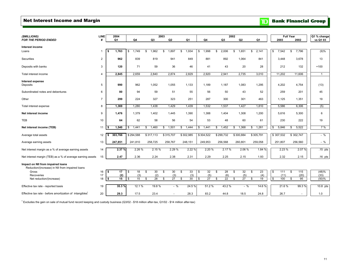## <span id="page-12-0"></span>Net Interest Income and Margin

|  | <b>TD</b> Bank Financial Group |  |
|--|--------------------------------|--|
|  |                                |  |

| (\$MILLIONS)                                                         | LINE           | 2004          |             |             | 2003                  |                |             |           | 2002                  |             |                       | <b>Full Year</b> | Q1 % change    |
|----------------------------------------------------------------------|----------------|---------------|-------------|-------------|-----------------------|----------------|-------------|-----------|-----------------------|-------------|-----------------------|------------------|----------------|
| <b>FOR THE PERIOD ENDED</b>                                          | #              | Q1            | Q4          | Q3          | Q2                    | Q <sub>1</sub> | Q4          | Q3        | Q2                    | Q1          | 2003                  | 2002             | vs Q1 03       |
|                                                                      |                |               |             |             |                       |                |             |           |                       |             |                       |                  |                |
| Interest income                                                      | $\mathbf 1$    |               | \$<br>1,749 | 1,962       |                       | 1,934          | 1,998<br>\$ | 2,006     | 1,651                 | 2,141       | $\mathbb{S}$<br>7,542 | 7,796            |                |
| Loans                                                                |                | 1,763<br>\$   |             | \$          | 1,897<br>\$           | \$             |             | \$        | \$                    | \$          |                       | \$               | (9)%           |
| Securities                                                           | $\overline{a}$ | 962           | 839         | 819         | 941                   | 849            | 881         | 892       | 1,064                 | 841         | 3.448                 | 3,678            | 13             |
|                                                                      |                |               |             |             |                       |                |             |           |                       |             |                       |                  |                |
| Deposits with banks                                                  | 3              | 120           | 71          | 59          | 36                    | 46             | 41          | 43        | 20                    | 28          | 212                   | 132              | $+100$         |
|                                                                      |                |               |             |             |                       |                |             |           |                       |             |                       |                  |                |
| Total interest income                                                | $\overline{4}$ | 2,845         | 2,659       | 2,840       | 2,874                 | 2,829          | 2,920       | 2,941     | 2,735                 | 3,010       | 11,202                | 11,606           | $\overline{1}$ |
|                                                                      |                |               |             |             |                       |                |             |           |                       |             |                       |                  |                |
| Interest expense<br>Deposits                                         | 5              | 990           | 962         | 1,052       | 1,055                 | 1,133          | 1.189       | 1.187     | 1,083                 | 1,295       | 4,202                 | 4,754            |                |
|                                                                      |                |               |             |             |                       |                |             |           |                       |             |                       |                  | (13)           |
| Subordinated notes and debentures                                    | 6              | 80            | 94          | 59          | 51                    | 55             | 56          | 50        | 43                    | 52          | 259                   | 201              | 45             |
|                                                                      |                |               |             |             |                       |                |             |           |                       |             |                       |                  |                |
| Other                                                                | $\overline{7}$ | 299           | 224         | 327         | 323                   | 251            | 287         | 300       | 301                   | 463         | 1,125                 | 1,351            | 19             |
|                                                                      |                | 1,369         | 1,280       | 1,438       | 1,429                 | 1,439          | 1,532       | 1,537     | 1,427                 | 1,810       | 5,586                 | 6,306            |                |
| Total interest expense                                               | 8              |               |             |             |                       |                |             |           |                       |             |                       |                  | (5)            |
| Net interest income                                                  | 9              | 1,476         | 1,379       | 1,402       | 1,445                 | 1,390          | 1,388       | 1.404     | 1,308                 | 1,200       | 5,616                 | 5,300            | 6              |
|                                                                      |                |               |             |             |                       |                |             |           |                       |             |                       |                  |                |
| TEB                                                                  | 10             | 64            | 62          | 58          | 56                    | 54             | 53          | 48        | 60                    | 61          | 230                   | 222              | 19             |
|                                                                      |                |               |             |             |                       | 1,444          |             | 1,452     |                       |             | 5,846                 |                  | 7%             |
| Net interest income (TEB)                                            | 11             | 1,540<br>\$   | 1,441<br>\$ | 1,460<br>\$ | 1,501<br>\$           | \$             | 1,441<br>\$ | \$        | 1,368<br>\$           | 1,261<br>\$ | \$                    | \$<br>5,522      |                |
| Average total assets                                                 | 12             | 303.766<br>\$ | \$294,588   | \$317,113   | \$315,707             | \$302,985      | \$304,522   | \$299,732 | \$300,884             | \$305,791   | \$307,532             | \$302,747        | $-$ %          |
|                                                                      |                |               |             |             |                       |                |             |           |                       |             |                       |                  |                |
| Average earning assets                                               | 13             | 247,851       | 241,810     | 258,725     | 258,767               | 248,151        | 249,953     | 256,568   | 260,801               | 259,058     | 251,807               | 256,560          | $-$ %          |
|                                                                      |                |               |             |             |                       |                |             |           |                       |             |                       |                  |                |
| Net interest margin as a % of average earning assets                 | 14             | 2.37%         | 2.26 %      | 2.15%       | 2.29 %                | 2.22 %         | 2.20 %      | 2.17 %    | 2.06 %                | 1.84 %      | 2.23%                 | 2.07 %           | $.15$ pts      |
| Net interest margin (TEB) as a % of average earning assets           | 15             | 2.47          | 2.36        | 2.24        | 2.38                  | 2.31           | 2.29        | 2.25      | 2.15                  | 1.93        | 2.32                  | 2.15             | $.16$ pts      |
|                                                                      |                |               |             |             |                       |                |             |           |                       |             |                       |                  |                |
| Impact on NII from impaired loans                                    |                |               |             |             |                       |                |             |           |                       |             |                       |                  |                |
| Reduction/(increase) in NII from impaired loans                      |                |               |             |             |                       |                |             |           |                       |             |                       |                  |                |
| Gross                                                                | 16             | \$<br>17      | 18<br>\$    | 30<br>\$    | 30<br>\$              | 33<br>\$       | \$<br>32    | \$<br>28  | 32<br>\$              | 23<br>\$    | \$<br>111             | 115<br>\$        | (48)%          |
| Recoveries                                                           | 17             | (2)           | (3)         | (2)         | (3)                   | (3)            | (5)         | (6)       | (5)                   | (4)         | (11)                  | (20)             | (33)           |
| Net reduction/(increase)                                             | 18             | 15<br>\$      | 15<br>\$    | 28<br>\$    | $\overline{27}$<br>\$ | 30<br>\$       | 27<br>\$    | 22<br>\$  | $\overline{27}$<br>\$ | 19<br>\$    | 100<br>\$             | 95<br>\$         | (50)%          |
|                                                                      |                | 35.3 %        | 12.1 %      | 19.8%       | $-$ %                 | 24.5 %         | 51.2%       | 43.2%     | $-$ %                 | 14.6 %      | 21.6%                 | 99.3%            | 10.8 pts       |
| Effective tax rate - reported basis                                  | 19             |               |             |             |                       |                |             |           |                       |             |                       |                  |                |
| Effective tax rate - before amortization of intangibles <sup>1</sup> | 20             | 29.3          | 17.5        | 23.4        |                       | 28.3           | 83.2        | 44.8      | 18.5                  | 24.8        | 26.7                  |                  | 1.0            |

1 Excludes the gain on sale of mutual fund record keeping and custody business (Q3/02 - \$18 million after-tax, Q1/02 - \$14 million after-tax)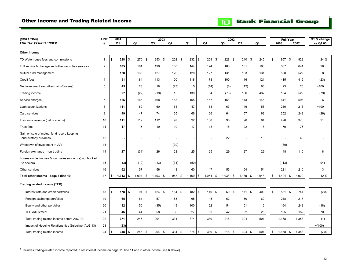## <span id="page-13-0"></span>Other Income and Trading Related Income

**TD** Bank Financial Group

| (\$MILLIONS)                                                            | <b>LINE</b>    |    | 2004  |               |            | 2003           |      |        |       |            |             |                | 2002       |                |                |       | <b>Full Year</b>         |           | Q1 % change    |
|-------------------------------------------------------------------------|----------------|----|-------|---------------|------------|----------------|------|--------|-------|------------|-------------|----------------|------------|----------------|----------------|-------|--------------------------|-----------|----------------|
| <b>FOR THE PERIOD ENDED</b>                                             | #              |    | Q1    | Q4            |            | Q <sub>3</sub> | Q2   |        | Q1    |            | Q4          | Q <sub>3</sub> |            | Q <sub>2</sub> |                | Q1    | 2003                     | 2002      | vs Q1 03       |
| Other Income                                                            |                |    |       |               |            |                |      |        |       |            |             |                |            |                |                |       |                          |           |                |
| TD Waterhouse fees and commissions                                      | 1              | \$ | 288   | \$            | 270 \$     | 253<br>- \$    | 202S |        | 232   | \$         | 209<br>- \$ |                | 228 \$     | 240            | - \$           | 245   | \$<br>957                | \$<br>922 | 24 %           |
| Full service brokerage and other securities services                    | $\overline{2}$ |    | 185   |               | 164        | 199            | 160  |        | 144   |            | 124         |                | 163        | 161            |                | 193   | 667                      | 641       | 28             |
| Mutual fund management                                                  | 3              |    | 138   |               | 133        | 127            | 120  |        | 128   |            | 127         |                | 131        | 133            |                | 131   | 508                      | 522       | 8              |
| Credit fees                                                             | $\overline{4}$ |    | 91    |               | 84         | 113            | 100  |        | 118   |            | 78          |                | 100        | 116            |                | 121   | 415                      | 415       | (23)           |
| Net investment securities gains/(losses)                                | 5              |    | 45    |               | 23         | 18             | (23) |        | 5     |            | (14)        |                | (8)        | (12)           |                | 60    | 23                       | 26        | $+100$         |
| Trading income                                                          | 6              |    | 27    |               | (22)       | (19)           | 15   |        | 130   |            | 64          |                | (73)       | 106            |                | 432   | 104                      | 529       | (79)           |
| Service charges                                                         | $\overline{7}$ |    | 165   |               | 165        | 168            | 153  |        | 155   |            | 157         |                | 151        | 143            |                | 145   | 641                      | 596       | 6              |
| Loan securitizations                                                    | 8              |    | 111   |               | 89         | 60             | 54   |        | 47    |            | 53          |                | 63         | 46             |                | 56    | 250                      | 218       | $+100$         |
| Card services                                                           | 9              |    | 49    |               | 47         | 74             | 65   |        | 66    |            | 66          |                | 64         | 57             |                | 62    | 252                      | 249       | (26)           |
| Insurance revenue (net of claims)                                       | 10             |    | 111   |               | 119        | 112            | 97   |        | 92    |            | 100         |                | 95         | 96             |                | 84    | 420                      | 375       | 21             |
| Trust fees                                                              | 11             |    | 17    |               | 15         | 19             | 19   |        | 17    |            | 18          |                | 18         | 22             |                | 18    | 70                       | 76        |                |
| Gain on sale of mutual fund record keeping<br>and custody business      | 12             |    |       |               |            |                |      |        |       |            |             |                | 22         |                | $\overline{a}$ | 18    | $\overline{\phantom{a}}$ | 40        | $\overline{a}$ |
| Writedown of investment in JVs                                          | 13             |    |       |               |            |                | (39) |        |       |            |             |                |            |                | $\overline{a}$ |       | (39)                     |           | $\overline{a}$ |
| Foreign exchange - non-trading                                          | 14             |    | 27    |               | (31)       | 26             | 28   |        | 25    |            | 25          |                | 29         | 27             |                | 29    | 48                       | 110       | 8              |
| Losses on derivatives & loan sales (non-core) not booked<br>to sectoral | 15             |    | (3)   |               | (19)       | (13)           | (31) |        | (50)  |            |             |                |            |                |                |       | (113)                    |           | (94)           |
| Other services                                                          | 16             |    | 62    |               | 57         | 56             | 48   |        | 60    |            | 47          |                | 55         | 54             |                | 54    | 221                      | 210       | 3              |
| Total other income - page 3 (line 19)                                   | 17             | \$ | 1,313 | \$            | $1,094$ \$ | $1,193$ \$     |      | 968 \$ | 1,169 | $\sqrt{3}$ | $1,054$ \$  |                | $1,038$ \$ |                | $1,189$ \$     | 1,648 | \$<br>$4,424$ \$         | 4,929     | 12 %           |
| Trading related income (TEB) <sup>1</sup>                               |                |    |       |               |            |                |      |        |       |            |             |                |            |                |                |       |                          |           |                |
| Interest rate and credit portfolios                                     | 18             | S. | 178   | $\mathfrak s$ | 91 \$      | 124S           |      | 184 \$ | 182   | \$         | 110 \$      |                | 60 \$      |                | 171S           | 400   | \$<br>581 \$             | 741       | (2)%           |
| Foreign exchange portfolios                                             | 19             |    | 65    |               | 61         | 57             | 65   |        | 65    |            | 45          |                | 62         | 50             |                | 60    | 248                      | 217       | $\overline{a}$ |
| Equity and other portfolios                                             | 20             |    | 82    |               | 50         | (35)           | 49   |        | 100   |            | 122         |                | 54         | 51             |                | 16    | 164                      | 243       | (18)           |
| <b>TEB Adjustment</b>                                                   | 21             |    | 46    |               | 44         | 58             | 36   |        | 27    |            | 53          |                | 42         | 32             |                | 25    | 165                      | 152       | 70             |
| Total trading related income before AcG-13                              | 22             |    | 371   |               | 246        | 204            | 334  |        | 374   |            | 330         |                | 218        | 304            |                | 501   | 1,158                    | 1,353     | (1)            |
| Impact of Hedging Relationships Guideline (AcG-13)                      | 23             |    | (23)  |               |            |                |      |        |       |            |             |                |            |                |                |       |                          |           | $+(100)$       |
| Total trading related income                                            | 24             | \$ | 348   | \$            | 246 \$     | 204<br>- \$    |      | 334 \$ | 374   | \$         | 330 \$      |                | $218$ \$   |                | 304 \$         | 501   | \$<br>$1,158$ \$         | 1,353     | (7)%           |

 $1$  Includes trading-related income reported in net interest income on page 11, line 11 and in other income (line 6 above).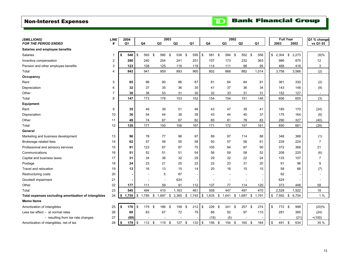## <span id="page-14-0"></span>Non-Interest Expenses

|  |  | <b>The Bank Financial Group</b> |  |
|--|--|---------------------------------|--|
|--|--|---------------------------------|--|

| (\$MILLIONS)                                         | <b>LINE</b>    |     | 2004           |                           |       |              | 2003   |             |                |                          |      |        | 2002           |                |        |             | <b>Full Year</b> |       | Q1 % change    |
|------------------------------------------------------|----------------|-----|----------------|---------------------------|-------|--------------|--------|-------------|----------------|--------------------------|------|--------|----------------|----------------|--------|-------------|------------------|-------|----------------|
| <b>FOR THE PERIOD ENDED</b>                          | #              |     | Q <sub>1</sub> |                           | Q4    |              | Q3     | Q2          | Q <sub>1</sub> |                          |      | Q4     | Q <sub>3</sub> | Q <sub>2</sub> |        | Q1          | 2003             | 2002  | vs Q1 03       |
| Salaries and employee benefits                       |                |     |                |                           |       |              |        |             |                |                          |      |        |                |                |        |             |                  |       |                |
| Salaries                                             | $\mathbf{1}$   | \$  | 540            | \$                        | 593   | \$           | 580    | \$<br>536   | \$             | 595                      | \$   | 581    | \$<br>584 \$   |                | 552 \$ | 556         | \$<br>$2,304$ \$ | 2,273 | (9)%           |
| Incentive compensation                               | $\overline{2}$ |     | 280            |                           | 240   |              | 254    | 241         |                | 251                      |      | 107    | 173            |                | 232    | 363         | 986              | 875   | 12             |
| Pension and other employee benefits                  | 3              |     | 123            |                           | 108   |              | 125    | 116         |                | 119                      |      | 114    | 111            |                | 98     | 95          | 468              | 418   | 3              |
| Total                                                | $\overline{4}$ |     | 943            |                           | 941   |              | 959    | 893         |                | 965                      |      | 802    | 868            |                | 882    | 1,014       | 3,758            | 3,566 | (2)            |
| Occupancy                                            |                |     |                |                           |       |              |        |             |                |                          |      |        |                |                |        |             |                  |       |                |
| Rent                                                 | 5              |     | 85             |                           | 98    |              | 90     | 86          |                | 87                       |      | 81     | 84             |                | 84     | 81          | 361              | 330   | (2)            |
| Depreciation                                         | 6              |     | 32             |                           | 37    |              | 35     | 36          |                | 35                       |      | 41     | 37             |                | 36     | 34          | 143              | 148   | (9)            |
| Other                                                | $\overline{7}$ |     | 30             |                           | 38    |              | 53     | 31          |                | 30                       |      | 32     | 33             |                | 31     | 31          | 152              | 127   | $\sim$         |
| Total                                                | 8              |     | 147            |                           | 173   |              | 178    | 153         |                | 152                      |      | 154    | 154            |                | 151    | 146         | 656              | 605   | (3)            |
| Equipment                                            |                |     |                |                           |       |              |        |             |                |                          |      |        |                |                |        |             |                  |       |                |
| Rent                                                 | 9              |     | 35             |                           | 49    |              | 39     | 51          |                | 46                       |      | 43     | 47             |                | 39     | 41          | 185              | 170   | (24)           |
| Depreciation                                         | 10             |     | 36             |                           | 54    |              | 44     | 38          |                | 39                       |      | 43     | 44             |                | 40     | 37          | 175              | 164   | (8)            |
| Other                                                | 11             |     | 49             |                           | 74    |              | 67     | 67          |                | 82                       |      | 85     | 81             |                | 78     | 83          | 290              | 327   | (40)           |
| Total                                                | 12             |     | 120            |                           | 177   |              | 150    | 156         |                | 167                      |      | 171    | 172            |                | 157    | 161         | 650              | 661   | (28)           |
| General                                              |                |     |                |                           |       |              |        |             |                |                          |      |        |                |                |        |             |                  |       |                |
| Marketing and business development                   | 13             |     | 96             |                           | 78    |              | 77     | 96          |                | 97                       |      | 89     | 97             |                | 114    | 88          | 348              | 388   | (1)            |
| Brokerage related fees                               | 14             |     | 62             |                           | 57    |              | 59     | 55          |                | 58                       |      | 50     | 57             |                | 56     | 61          | 229              | 224   | $\overline{7}$ |
| Professional and advisory services                   | 15             |     | 91             |                           | 123   |              | 87     | 87          |                | 75                       |      | 105    | 84             |                | 87     | 90          | 372              | 366   | 21             |
| Communications                                       | 16             |     | 51             |                           | 52    |              | 51     | 51          |                | 54                       |      | 56     | 59             |                | 58     | 52          | 208              | 225   | (6)            |
| Capital and business taxes                           | 17             |     | 31             |                           | 34    |              | 38     | 32          |                | 29                       |      | 29     | 32             |                | 22     | 24          | 133              | 107   | $\overline{7}$ |
| Postage                                              | 18             |     | 24             |                           | 23    |              | 21     | 25          |                | 22                       |      | 22     | 23             |                | 31     | 20          | 91               | 96    | 9              |
| Travel and relocation                                | 19             |     | 13             |                           | 16    |              | 13     | 15          |                | 14                       |      | 20     | 18             |                | 15     | 15          | 58               | 68    | (7)            |
| Restructuring costs                                  | 20             |     |                |                           |       |              | 5      | 87          |                | $\overline{\phantom{a}}$ |      |        |                |                | $\sim$ |             | 92               |       |                |
| Goodwill impairment                                  | 21             |     |                |                           |       |              | ÷,     | 624         |                |                          |      |        |                |                |        |             | 624              |       | $\overline{a}$ |
| Other                                                | 22             |     | 177            |                           | 111   |              | 59     | 91          |                | 112                      |      | 137    | 77             |                | 114    | 120         | 373              | 448   | 58             |
| Total                                                | 23             |     | 545            |                           | 494   |              | 410    | 1,163       |                | 461                      |      | 508    | 447            |                | 497    | 470         | 2,528            | 1,922 | 18             |
| Total expenses excluding amortization of intangibles | 24             | \$  | 1,755          | \$                        | 1,785 | $\mathbb{S}$ | 1,697  | \$<br>2,365 | \$<br>1,745    |                          | \$   | 1,635  | \$<br>1,641    | \$1,687        |        | \$<br>1,791 | \$<br>7,592 \$   | 6,754 | 1%             |
| <b>Memo Items</b>                                    |                |     |                |                           |       |              |        |             |                |                          |      |        |                |                |        |             |                  |       |                |
| Amortization of intangibles                          | 25             | \$  | 170            | $\boldsymbol{\mathsf{s}}$ | 175   | \$           | 186    | \$<br>199   | \$             | 212                      | l \$ | 226    | \$<br>241      | \$             | 257    | 274<br>- \$ | \$<br>772 \$     | 998   | (20)%          |
| Less tax effect - at normal rates                    | 26             |     | 60             |                           | 63    |              | 67     | 72          |                | 79                       |      | 86     | 92             |                | 97     | 110         | 281              | 385   | (24)           |
| - resulting from tax rate changes                    | 27             |     | (69)           |                           |       |              |        |             |                |                          |      | (16)   | (5)            |                |        |             |                  | (21)  | $+(100)$       |
| Amortization of intangibles, net of tax              | 28             | -\$ | 179            | \$                        | 112S  |              | 119 \$ | 127S        |                | 133                      | l \$ | 156 \$ | 154 \$         |                | 160 \$ | 164         | 491 \$<br>\$     | 634   | 35 %           |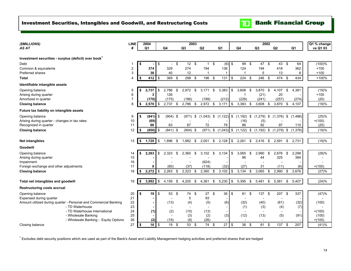<span id="page-15-0"></span>

| (\$MILLIONS)                                                     | <b>LINE</b>    |            | 2004              |            |            |      | 2003                     |                  |     |                          |            |                                        | 2002             |                          |     |                |          | Q1 % change |
|------------------------------------------------------------------|----------------|------------|-------------------|------------|------------|------|--------------------------|------------------|-----|--------------------------|------------|----------------------------------------|------------------|--------------------------|-----|----------------|----------|-------------|
| AS AT                                                            | #              |            | Q1                |            | Q4         |      | Q <sub>3</sub>           | Q2               |     | Q <sub>1</sub>           |            | Q4                                     | Q <sub>3</sub>   | Q <sub>2</sub>           |     | Q <sub>1</sub> |          | vs Q1 03    |
|                                                                  |                |            |                   |            |            |      |                          |                  |     |                          |            |                                        |                  |                          |     |                |          |             |
| Investment securities - surplus (deficit) over book <sup>1</sup> |                |            |                   |            |            |      |                          |                  |     |                          |            |                                        |                  |                          |     |                |          |             |
| Debt                                                             | 1              | \$         |                   | \$         | $\sim$     | - \$ | $12 \quad$               | $\mathbf{1}$     | \$  | $(6)$ \$                 |            | 99                                     | \$<br>47 \$      | 43 \$                    |     | 64             |          | (100)%      |
| Common & equivalents                                             | 2              |            | 374               |            | 329        |      | 274                      | 194              |     | 136                      |            | 124                                    | 194              | 418                      |     | 362            |          | $+100$      |
| Preferred shares                                                 | 3              |            | 38                |            | 40         |      | 12                       | -1               |     | $\overline{1}$           |            | -1                                     | 5                | 13                       |     | 8              |          | $+100$      |
| Total                                                            | 4              | \$         | 412 $\frac{1}{2}$ |            | 369 \$     |      | 298 \$                   | 196 \$           |     | 131                      | $\sqrt{3}$ | 224                                    | \$<br>246 \$     | 474 \$                   |     | 434            |          | $+100%$     |
| Identifiable intangible assets                                   |                |            |                   |            |            |      |                          |                  |     |                          |            |                                        |                  |                          |     |                |          |             |
| Opening balance                                                  | 5              | \$         | 2,737             | \$         | 2,786      | \$   | 2,972                    | \$<br>3,171      | \$  | 3,383                    | \$         | 3,608                                  | \$<br>3,870      | \$<br>4,107              | \$  | 4,381          |          | (19)%       |
| Arising during quarter                                           | 6              |            | 3                 |            | 126        |      |                          |                  |     |                          |            | -1                                     | (21)             | 20                       |     |                |          | $+100$      |
| Amortized in quarter                                             | $\overline{7}$ |            | (170)             |            | (175)      |      | (186)                    | (199)            |     | (212)                    |            | (226)                                  | (241)            | (257)                    |     | (274)          |          | (20)        |
| <b>Closing balance</b>                                           | 8              | \$         | 2,570             | \$         | 2,737      | \$   | 2,786                    | \$<br>$2,972$ \$ |     | 3,171                    | \$         | 3,383                                  | \$<br>3,608      | \$<br>3,870              | -\$ | 4,107          |          | (19)%       |
| Future tax liability on intangible assets                        |                |            |                   |            |            |      |                          |                  |     |                          |            |                                        |                  |                          |     |                |          |             |
| Opening balance                                                  | 9              | \$         | (841)             | \$         | $(904)$ \$ |      | (971)                    | \$<br>(1,043)    | \$  | (1, 122)                 | \$         | $(1,192)$ \$ $(1,279)$                 |                  | \$<br>$(1,376)$ \$       |     | (1,486)        |          | (25)%       |
| Arising during quarter - changes in tax rates                    | 10             |            | (69)              |            |            |      |                          |                  |     |                          |            | (16)                                   | (5)              |                          |     |                | $+(100)$ |             |
| Recognized in quarter                                            | 11             |            | 60                |            | 63         |      | 67                       | 72               |     | 79                       |            | 86                                     | 92               | 97                       |     | 110            |          | (25)        |
| <b>Closing balance</b>                                           | 12             | \$         | (850)             | \$         | $(841)$ \$ |      | $(904)$ \$               | (971)            | \$  | $(1,043)$ \$             |            | $(1,122)$ \$ $(1,192)$ \$ $(1,279)$ \$ |                  |                          |     | (1,376)        |          | (19)%       |
|                                                                  |                |            |                   |            |            |      |                          |                  |     |                          |            |                                        |                  |                          |     |                |          |             |
| <b>Net intangibles</b>                                           | 13             | $\sqrt{2}$ | 1,720             | $\sqrt{3}$ | 1,896      | \$   | 1,882                    | \$<br>2,001      | \$  | 2,128                    | $\sqrt{3}$ | 2,261                                  | \$<br>$2,416$ \$ | 2,591                    | \$  | 2,731          |          | (19)%       |
| Goodwill                                                         |                |            |                   |            |            |      |                          |                  |     |                          |            |                                        |                  |                          |     |                |          |             |
| Opening balance                                                  | 14             | \$         | 2,263             | \$         | 2,323      | \$   | 2.360                    | \$<br>3,102      | \$  | 3.134                    | \$         | 3.065                                  | \$<br>2.990      | \$<br>2,676              | -\$ | 2,298          |          | (28)%       |
| Arising during quarter                                           | 15             |            |                   |            |            |      |                          |                  |     |                          |            | 96                                     | 44               | 325                      |     | 384            |          |             |
| Impairment                                                       | 16             |            |                   |            |            |      |                          | (624)            |     |                          |            |                                        |                  |                          |     |                |          |             |
| Foreign exchange and other adjustments                           | 17             |            | 9                 |            | (60)       |      | (37)                     | (118)            |     | (32)                     |            | (27)                                   | 31               | (11)                     |     | (6)            | $+(100)$ |             |
| <b>Closing balance</b>                                           | 18             | \$         | 2,272             | \$         | 2,263      | \$   | 2,323                    | \$<br>$2,360$ \$ |     | 3,102                    | \$         | 3,134                                  | \$<br>3,065      | \$<br>2,990              | \$  | 2,676          |          | (27)%       |
|                                                                  |                |            |                   |            |            |      |                          |                  |     |                          |            |                                        |                  |                          |     |                |          |             |
| Total net intangibles and goodwill                               | 19             | \$         | 3,992             | l \$       | 4,159      | \$   | 4,205                    | \$<br>4,361      | \$  | 5,230                    | \$         | 5,395                                  | \$<br>5,481      | \$<br>5,581              | \$  | 5.407          |          | (24)%       |
| <b>Restructuring costs accrual</b>                               |                |            |                   |            |            |      |                          |                  |     |                          |            |                                        |                  |                          |     |                |          |             |
| Opening balance                                                  | 20             | \$         | $19$ $\sqrt{3}$   |            | 53 \$      |      | 74 \$                    | 27               | \$  | 36                       | $\sqrt{3}$ | 81 \$                                  | 137              | \$<br>207 \$             |     | 337            |          | (47)%       |
| Expensed during quarter                                          | 21             |            |                   |            |            |      | 5                        | 93               |     |                          |            |                                        |                  |                          |     |                |          |             |
| Amount utilized during quarter - Personal and Commercial Banking | 22             |            |                   |            | (13)       |      | (4)                      | (5)              |     | (6)                      |            | (32)                                   | (40)             | (61)                     |     | (32)           |          | (100)       |
| - TD Waterhouse                                                  | 23             |            |                   |            |            |      | $\overline{\phantom{a}}$ |                  |     |                          |            | (1)                                    | (3)              | (4)                      |     | (7)            |          |             |
| - TD Waterhouse International                                    | 24             |            | (1)               |            | (2)        |      | (10)                     | (13)             |     | $\overline{\phantom{a}}$ |            | $\overline{\phantom{0}}$               | $\blacksquare$   | $\overline{\phantom{a}}$ |     |                | $+(100)$ |             |
| - Wholesale Banking                                              | 25             |            |                   |            |            |      | (3)                      | (2)              |     | (3)                      |            | (12)                                   | (13)             | (5)                      |     | (91)           |          | (100)       |
| - Wholesale Banking - Equity Options                             | 26             |            | (2)               |            | (19)       |      | (9)                      | (26)             |     |                          |            |                                        |                  |                          |     |                | $+(100)$ |             |
| Closing balance                                                  | 27             | \$         | $16$ $\sqrt{3}$   |            | 19         | -\$  | 53 \$                    | 74               | -\$ | 27                       | \$         | 36                                     | \$<br>81         | \$<br>137                | \$  | 207            |          | (41)%       |

<sup>1</sup> Excludes debt security positions which are used as part of the Bank's Asset and Liability Management hedging activities and preferred shares that are hedged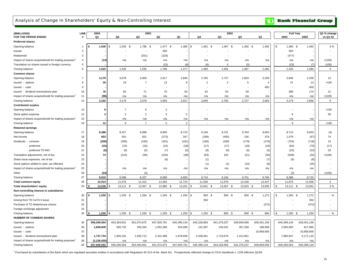### <span id="page-16-0"></span>Analysis of Change in Shareholders' Equity & Non-Controlling Interest

| (\$MILLIONS)<br>FOR THE PERIOD ENDED                             | <b>LINE</b>    | 2004<br>Q1        | Q4                | 2003<br>Q3     | Q2             | Q1             | Q4                           | 2002<br>Q3     | Q <sub>2</sub> | Q1             | <b>Full Year</b><br>2003 | 2002        | Q1 % change<br>vs Q1 03 |
|------------------------------------------------------------------|----------------|-------------------|-------------------|----------------|----------------|----------------|------------------------------|----------------|----------------|----------------|--------------------------|-------------|-------------------------|
| Preferred shares                                                 |                |                   |                   |                |                |                |                              |                |                |                |                          |             |                         |
| Opening balance                                                  |                | $1,535$ \$        | $1,535$ \$        | 1,786 \$       | $1,477$ \$     | 1,485          | l \$<br>$1,491$ \$           | 1,487 \$       | 1,492 \$       | 1,492          | \$<br>$1,485$ \$         | 1,492       | 3%                      |
| Issued                                                           | $\overline{2}$ |                   |                   |                | 550            |                |                              |                |                |                | 550                      |             |                         |
| Redeemed                                                         | $\mathbf{3}$   |                   |                   | (251)          | (226)          |                |                              |                |                |                | (477)                    |             |                         |
| Impact of shares acquired/sold for trading purposes'             | $\overline{4}$ | (13)              | n/a               | n/a            | n/a            | n/a            | n/a                          | n/a            | n/a            | n/a            | n/a                      | n/a         | $+(100)$                |
| Translation on shares issued in foreign currency                 | 5              |                   |                   |                | (15)           | (8)            | (6)                          | $\overline{4}$ | (5)            |                | (23)                     | (7)         | (100)                   |
| Closing balance                                                  | 6              | 1,522             | 1,535             | 1,535          | 1,786          | 1,477          | 1,485                        | 1,491          | 1,487          | 1,492          | 1,535                    | 1,485       | 3                       |
| Common shares                                                    |                |                   |                   |                |                |                |                              |                |                |                |                          |             |                         |
| Opening balance                                                  | $\overline{7}$ | 3,179             | 3,078             | 3,000          | 2,917          | 2,846          | 2,782                        | 2,727          | 2,663          | 2,259          | 2,846                    | 2,259       | 12                      |
| Issued - options                                                 | 8              | 35                | 19                | $\overline{7}$ | 13             | 8              | $\overline{2}$               | $\overline{2}$ | 5              | $\overline{4}$ | 47                       | 13          | $+100$                  |
| Issued - cash                                                    | 9              |                   |                   |                |                |                |                              |                |                | 400            |                          | 400         |                         |
| Issued - dividend reinvestment plan                              | 10             | 76                | 82                | 71             | 70             | 63             | 62                           | 53             | 59             |                | 286                      | 174         | 21                      |
| Impact of shares acquired/sold for trading purposes <sup>1</sup> | 11             | (98)              | n/a               | n/a            | n/a            | n/a            | n/a                          | n/a            | n/a            | n/a            | n/a                      | n/a         | $+(100)$                |
| Closing balance                                                  | 12             | 3,192             | 3,179             | 3,078          | 3,000          | 2,917          | 2,846                        | 2,782          | 2,727          | 2,663          | 3,179                    | 2,846       | 9                       |
| <b>Contributed surplus</b>                                       |                |                   |                   |                |                |                |                              |                |                |                |                          |             |                         |
| Opening balance                                                  | 13             | 9                 | 7                 | 5              | $\overline{2}$ |                |                              |                |                |                |                          |             | $+100$                  |
| Stock option expense                                             | 14             | 3                 | $\overline{2}$    | $\overline{2}$ | 3              | $\overline{2}$ |                              |                |                |                | 9                        |             | 50                      |
| Impact of shares acquired/sold for trading purposes <sup>1</sup> | 15             |                   | n/a               | n/a            | n/a            | n/a            | n/a                          | n/a            | n/a            | n/a            | n/a                      | n/a         |                         |
| Closing balance                                                  | 16             | 12                | 9                 | $\overline{7}$ | 5              | $\overline{2}$ |                              |                | $\sim$         |                | 9                        |             | $+100$                  |
|                                                                  |                |                   |                   |                |                |                |                              |                |                |                |                          |             |                         |
| Retained earnings                                                | 17             |                   |                   |                |                |                | 9,194                        |                |                |                |                          |             |                         |
| Opening balance                                                  |                | 8,388             | 8,327             | 8,089          | 8,805          | 8,710          |                              | 9,701          | 9,784          | 9,653          | 8,710                    | 9,653       | (4)                     |
| Net income                                                       | 18             | 603               | 501               | 501            | (273)          | 347            | (196)                        | (405)          | 156            | 378            | 1,076                    | (67)        | 74                      |
| Dividends - common                                               | 19             | (209)             | (209)             | (183)          | (181)          | (181)          | (180)                        | (180)          | (179)          | (179)          | (754)                    | (718)       | 15                      |
| - preferred                                                      | 20             | (15)              | (15)              | (16)           | (15)           | (18)           | (17)                         | (17)           | (18)           | (18)           | (64)                     | (70)        | (17)                    |
| - preferred TD MIC                                               | 21             | (6)               | (6)               | (5)            | (7)            | (5)            | (6)                          | (6)            | (6)            | (5)            | (23)                     | (23)        | 20                      |
| Translation adjustments, net of tax                              | 22             | 73                | (210)             | (56)           | (234)          | (48)           | (83)                         | 102            | (21)           | (30)           | (548)                    | (32)        | $+(100)$                |
| Share issue expenses, net of tax                                 | 23             |                   |                   |                | (6)            |                | (1)                          |                |                | (7)            | (6)                      | (8)         |                         |
| Stock options settled in cash, tax effected                      | 24             |                   |                   |                |                |                | (1)                          | (1)            | (15)           | (8)            |                          | (25)        |                         |
| Impact of shares acquired/sold for trading purposes <sup>1</sup> | 25             |                   | n/a               | n/a            | n/a            | n/a            | n/a                          | n/a            | n/a            | n/a            | n/a                      | n/a         |                         |
| Other                                                            | 26             | (24)              |                   | (3)            |                |                |                              |                |                |                | (3)                      |             | $+(100)$                |
| Closing balance                                                  | 27             | 8,810             | 8,388             | 8,327          | 8,089          | 8,805          | 8,710                        | 9,194          | 9,701          | 9,784          | 8,388                    | 8,710       |                         |
| <b>Total common equity</b>                                       | 28             | 12,014            | 11,576            | 11,412         | 11,094         | 11,724         | 11,556                       | 11,976         | 12,428         | 12,447         | 11,576                   | 11,556      | $\overline{2}$          |
| Total shareholders' equity                                       | 29             | 13,536            | $13,111$ \$<br>\$ | $12,947$ \$    | 12,880 \$      | 13,201         | 13,041 \$<br>\$              | 13,467 \$      | 13,915 \$      | 13,939         | \$<br>$13,111$ \$        | 13,041      | 3%                      |
| Non-controlling interest in subsidiaries                         |                |                   |                   |                |                |                |                              |                |                |                |                          |             |                         |
| Opening balance                                                  | 30             | $1,250$ \$<br>-\$ | $1,250$ \$        | $1,250$ \$     | $1,250$ \$     | 1,250          | l \$<br>900 \$               | 900 \$         | 900 \$         | 1,272          | \$<br>$1,250$ \$         | 1,272       | $-$ %                   |
| Arising from TD CaTS II issue                                    | 31             |                   |                   |                |                |                | 350                          |                |                |                |                          | 350         |                         |
| Purchase of TD Waterhouse shares                                 | 32             |                   |                   |                |                |                |                              |                |                | (372)          |                          | (372)       |                         |
| Foreign exchange adjustment                                      | 33             |                   |                   |                |                |                |                              |                |                |                |                          |             |                         |
| Closing balance                                                  | 34             | 1,250             | $1,250$ \$        | $1,250$ \$     | $1,250$ \$     | 1,250          | $\mathfrak{L}$<br>$1,250$ \$ | 900 \$         | 900 \$         | 900            | $1,250$ \$               | 1,250       | $-$ %                   |
| <b>NUMBER OF COMMON SHARES</b>                                   |                |                   |                   |                |                |                |                              |                |                |                |                          |             |                         |
| Opening balance                                                  | 35             | 656,260,564       | 653,364,651       | 651,074,675    | 647,920,791    | 645,399,134    | 643,228,956                  | 641,379,237    | 639,609,058    | 628,451,159    | 645,399,134              | 628,451,159 |                         |
| Issued - options                                                 | 36             | 1,828,849         | 945,732           | 359,264        | 1,052,388      | 543,099        | 131,597                      | 130,041        | 357,328        | 198,999        | 2,900,483                | 817,965     |                         |
| Issued - cash                                                    | 37             |                   |                   |                |                |                |                              |                |                | 10,958,900     |                          | 10,958,900  |                         |
| Issued - dividend reinvestment plan                              | 38             | 1,747,734         | 1,950,181         | 1,930,712      | 2,101,496      | 1,978,558      | 2,038,581                    | 1,719,678      | 1,412,851      |                | 7,960,947                | 5,171,110   |                         |
| Impact of shares acquired/sold for trading purposes <sup>1</sup> | 39             | (2, 236, 555)     | n/a               | n/a            | n/a            | n/a            | n/a                          | n/a            | n/a            | n/a            | n/a                      | n/a         |                         |
| Closing balance                                                  | 40             | 657.600.592       | 656.260.564       | 653.364.651    | 651.074.675    | 647.920.791    | 645.399.134                  | 643.228.956    | 641,379,237    | 639.609.058    | 656.260.564              | 645.399.134 |                         |
|                                                                  |                |                   |                   |                |                |                |                              |                |                |                |                          |             |                         |

<sup>1</sup> Purchased by subsidiaries of the Bank which are regulated securities entities in accordance with Regulation 92-313 of the Bank Act. Prospectively reflected change to CICA Handbook s. 1100 effective Q1/04

## **TD** Bank Financial Group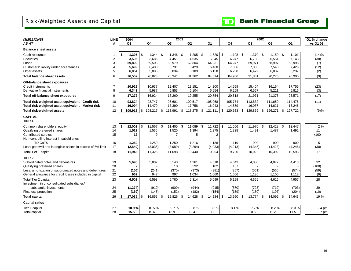## <span id="page-17-0"></span>Risk-Weighted Assets and Capital

**TD** Bank Financial Group

| (\$MILLIONS)                                                     | <b>LINE</b>    | 2004             |                  |     |                  | 2003 |                  |      |                  |                  | 2002                              |                 |                 | Q1 % change |
|------------------------------------------------------------------|----------------|------------------|------------------|-----|------------------|------|------------------|------|------------------|------------------|-----------------------------------|-----------------|-----------------|-------------|
| AS AT                                                            | #              | Q <sub>1</sub>   | Q <sub>4</sub>   |     | Q <sub>3</sub>   |      | Q <sub>2</sub>   |      | Q <sub>1</sub>   | Q4               | Q3                                | Q2              | Q <sub>1</sub>  | vs Q1 03    |
| <b>Balance sheet assets</b>                                      |                |                  |                  |     |                  |      |                  |      |                  |                  |                                   |                 |                 |             |
| Cash resources                                                   |                | 1,395<br>- \$    | \$<br>$1,344$ \$ |     | $1,346$ \$       |      | $1,205$ \$       |      | 1,620            | \$<br>$1.108$ \$ | $1,370$ \$                        | $1,150$ \$      | 1,101           | (14)%       |
| Securities                                                       | $\overline{2}$ | 3,595            | 3,686            |     | 4,451            |      | 4,635            |      | 5,845            | 6,247            | 6,708                             | 6,551           | 7,143           | (38)        |
| Loans<br>Customers' liability under acceptances                  | 3<br>4         | 59,809<br>5,699  | 59,508<br>6.400  |     | 59,979<br>6,731  |      | 62,804<br>6,429  |      | 64,231<br>6.460  | 64,247<br>7,066  | 69,971<br>7,333                   | 68,997<br>7,540 | 68,998<br>7,426 | (7)<br>(12) |
| Other assets                                                     | 5              | 6,054            | 5,885            |     | 5,834            |      | 6,189            |      | 6,158            | 6,288            | 6,479                             | 6,037           | 6,237           | (2)         |
| <b>Total balance sheet assets</b>                                | 6              | 76,552           | 76,823           |     | 78,341           |      | 81,262           |      | 84,314           | 84,956           | 91,861                            | 90,275          | 90,905          | (9)         |
| Off-balance sheet exposures                                      |                |                  |                  |     |                  |      |                  |      |                  |                  |                                   |                 |                 |             |
| Credit instruments                                               | $\overline{7}$ | 10,929           | 10,937           |     | 12,407           |      | 13,151           |      | 14,200           | 14,559           | 15,404                            | 16,164          | 17,755          | (23)        |
| Derivative financial instruments                                 | 8              | 6,343            | 5,987            |     | 5,853            |      | 6,104            |      | 6,554            | 6,259            | 6,567                             | 5,211           | 5,816           | (3)         |
| Total off-balance sheet exposures                                | 9              | 17,272           | 16,924           |     | 18,260           |      | 19,255           |      | 20,754           | 20,818           | 21,971                            | 21,375          | 23,571          | (17)        |
| Total risk-weighted asset equivalent - Credit risk               | 10             | 93,824           | 93.747           |     | 96,601           |      | 100,517          |      | 105,068          | 105,774          | 113,832                           | 111,650         | 114,476         | (11)        |
| Total risk-weighted asset equivalent - Market risk               | 11             | 16,094           | 14,470           |     | 17,390           |      | 17,758           |      | 16,043           | 14,859           | 16,037                            | 14,621          | 13,246          |             |
| Total risk-weighted assets                                       | 12             | 109,918<br>\$    | \$<br>108,217 \$ |     | 113,991          | \$   | 118,275 \$       |      | 121,111          | \$<br>120,633 \$ | 129,869 \$                        | 126,271         | \$<br>127,722   | (9)%        |
| <b>CAPITAL</b><br>TIER <sub>1</sub>                              |                |                  |                  |     |                  |      |                  |      |                  |                  |                                   |                 |                 |             |
| Common shareholders' equity                                      | 13             | 12,002<br>- \$   | \$<br>11,567     | -\$ | 11.405           | \$   | 11.089           | - \$ | 11,722           | \$<br>11.556 \$  | 11,976 \$                         | 12,428 \$       | 12,447          | 2%          |
| Qualifying preferred shares                                      | 14             | 1,522            | 1,535            |     | 1,525            |      | 1,394            |      | 1,375            | 1,328            | 1,491                             | 1,487           | 1,492           | 11          |
| Contributed surplus                                              | 15             | 12               | 9                |     | $\overline{7}$   |      | 5                |      | 2                |                  |                                   |                 |                 | $+100$      |
| Non-controlling interest in subsidiaries<br>- TD CaTS            |                |                  |                  |     |                  |      |                  |      |                  |                  |                                   |                 |                 |             |
| Less: goodwill and intangible assets in excess of 5% limit       | 16<br>17       | 1,250<br>(2,840) | 1,250<br>(3,035) |     | 1,250<br>(3,089) |      | 1,216<br>(3,264) |      | 1,188<br>(4,033) | 1,119<br>(4,213) | 900<br>(4, 345)                   | 900<br>(4, 423) | 900<br>(4,246)  | 5<br>(30)   |
| Total Tier 1 capital                                             | 18             | 11,946           | 11,326           |     | 11,098           |      | 10,440           |      | 10,254           | 9,790            | 10,022                            | 10,392          | 10,593          | 17          |
|                                                                  |                |                  |                  |     |                  |      |                  |      |                  |                  |                                   |                 |                 |             |
| TIER <sub>2</sub>                                                |                |                  |                  |     |                  |      |                  |      |                  |                  |                                   |                 |                 |             |
| Subordinated notes and debentures<br>Qualifying preferred shares | 19<br>20       | 5,696            | 5,887            |     | 5,143<br>10      |      | 4,261<br>392     |      | 4,318<br>102     | 4,343<br>157     | 4,080<br>$\overline{\phantom{a}}$ | 4,077           | 4,413           | 32<br>(100) |
| Less: amortization of subordinated notes and debentures          | 21             | (156)            | (241)            |     | (370)            |      | (373)            |      | (381)            | (357)            | (561)                             | (566)           | (574)           | (59)        |
| General allowance for credit losses included in capital          | 22             | 962              | 947              |     | 997              |      | 1,034            |      | 1,060            | 1,056            | 1,136                             | 1,105           | 1,118           | (9)         |
| Total Tier 2 capital                                             | 23             | 6,502            | 6,593            |     | 5,780            |      | 5,314            |      | 5,099            | 5,199            | 4,655                             | 4,616           | 4,957           | 28          |
| Investment in unconsolidated subsidiaries/                       |                |                  |                  |     |                  |      |                  |      |                  |                  |                                   |                 |                 |             |
| substantial investments                                          | 24             | (1, 274)         | (919)            |     | (900)            |      | (944)            |      | (915)            | (870)            | (723)                             | (719)           | (703)           | 39          |
| First loss protection                                            | 25             | (139)            | (145)            |     | (152)            |      | (182)            |      | (154)            | (159)            | (180)                             | (197)           | (204)           | (10)        |
| <b>Total capital</b>                                             | 26             | \$<br>17,035     | \$<br>16,855 \$  |     | 15,826           | \$   | 14,628 \$        |      | 14,284           | \$<br>13,960 \$  | 13,774 \$                         | 14,092 \$       | 14,643          | 19%         |
| <b>Capital ratios</b>                                            |                |                  |                  |     |                  |      |                  |      |                  |                  |                                   |                 |                 |             |
| Tier 1 capital                                                   | 27             | 10.9%            | 10.5%            |     | 9.7%             |      | 8.8%             |      | 8.5%             | 8.1%             | 7.7%                              | 8.2%            | 8.3%            | 2.4 pts     |
| Total capital                                                    | 28             | 15.5             | 15.6             |     | 13.9             |      | 12.4             |      | 11.8             | 11.6             | 10.6                              | 11.2            | 11.5            | 3.7 pts     |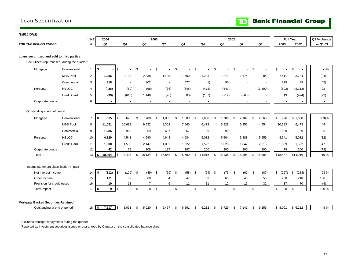## <span id="page-18-0"></span>Loan Securitization Loan Securitization

| (\$MILLIONS)                                              |                    |                |                |                |          |                          |                |      |           |                      |             |                          |                          |      |                |                                |             |                         |             |
|-----------------------------------------------------------|--------------------|----------------|----------------|----------------|----------|--------------------------|----------------|------|-----------|----------------------|-------------|--------------------------|--------------------------|------|----------------|--------------------------------|-------------|-------------------------|-------------|
|                                                           |                    | <b>LINE</b>    |                | 2004           |          |                          |                | 2003 |           |                      |             |                          |                          | 2002 |                |                                |             | <b>Full Year</b>        | Q1 % change |
| <b>FOR THE PERIOD ENDED</b>                               |                    | #              |                | Q <sub>1</sub> |          | Q4                       | Q3             |      | Q2        | Q <sub>1</sub>       |             | Q <sub>4</sub>           | Q3                       |      | Q <sub>2</sub> | Q1                             | 2003        | 2002                    | vs Q1 03    |
|                                                           |                    |                |                |                |          |                          |                |      |           |                      |             |                          |                          |      |                |                                |             |                         |             |
| Loans securitized and sold to third parties               |                    |                |                |                |          |                          |                |      |           |                      |             |                          |                          |      |                |                                |             |                         |             |
| Securitized/(repurchased) during the quarter <sup>1</sup> |                    |                |                |                |          |                          |                |      |           |                      |             |                          |                          |      |                |                                |             |                         |             |
| Mortgage                                                  | Conventional       | $\mathbf{1}$   | \$             |                | \$       |                          | \$             | \$   |           | \$<br>$\blacksquare$ | \$          |                          | \$                       | \$   |                | \$<br>$\overline{\phantom{a}}$ | \$          | \$                      | $-$ %       |
|                                                           | <b>MBS Pool</b>    | $\overline{2}$ |                | 1,056          |          | 2,138                    | 2,338          |      | 1,435     | 1,600                |             | 1,203                    | 1,273                    |      | 1,174          | 84                             | 7,511       | 3,734                   | (34)        |
|                                                           | Commercial         | 3              |                | 318            |          |                          | 302            |      |           | 577                  |             | (1)                      | 90                       |      |                | $\overline{\phantom{a}}$       | 879         | 89                      | (45)        |
| Personal                                                  | <b>HELOC</b>       | $\overline{4}$ |                | (426)          |          | (60)                     | (58)           |      | (36)      | (348)                |             | (472)                    | (541)                    |      | $\sim$         | (1,300)                        | (502)       | (2, 313)                | 22          |
|                                                           | <b>Credit Card</b> | 5              |                | (39)           |          | (613)                    | 1,146          |      | (20)      | (500)                |             | (107)                    | (219)                    |      | (668)          | $\blacksquare$                 | 13          | (994)                   | (92)        |
| Corporate Loans                                           |                    | 6              |                |                |          | $\overline{\phantom{a}}$ | $\sim$         |      | $\sim$    | $\blacksquare$       |             | $\overline{\phantom{a}}$ | $\overline{\phantom{a}}$ |      |                | $\overline{\phantom{a}}$       |             |                         |             |
| Outstanding at end of period                              |                    |                |                |                |          |                          |                |      |           |                      |             |                          |                          |      |                |                                |             |                         |             |
| Mortgage                                                  | Conventional       | $\overline{7}$ | $\sqrt{2}$     | 515            | \$       | 626                      | \$<br>788      | \$   | 1,052     | \$<br>1,380          | \$          | 1,600                    | \$<br>1,786              | \$   | 2,109          | \$<br>2,660                    | \$<br>626   | \$1,600                 | (63)%       |
|                                                           | <b>MBS Pool</b>    | 8              |                | 11,031         |          | 10,683                   | 9,532          |      | 8,302     | 7,660                |             | 6,473                    | 5,928                    |      | 5,351          | 4,554                          | 10,683      | 6,473                   | 44          |
|                                                           | Commercial         | 9              |                | 1,286          |          | 969                      | 969            |      | 667       | 667                  |             | 89                       | 90                       |      | $\sim$         | $\sim$                         | 969         | 89                      | 93          |
| Personal                                                  | <b>HELOC</b>       | 10             |                | 4,120          |          | 4,541                    | 4,590          |      | 4,648     | 4,684                |             | 5,032                    | 5,504                    |      | 5,888          | 5,959                          | 4,541       | 5,032                   | (12)        |
|                                                           | Credit Card        | 11             |                | 1,500          |          | 1,539                    | 2,147          |      | 1,002     | 1,022                |             | 1,522                    | 1,628                    |      | 1,847          | 2,515                          | 1,539       | 1,522                   | 47          |
| Corporate Loans                                           |                    | 12             |                | 42             |          | 79                       | 108            |      | 187       | 187                  |             | 200                      | 200                      |      | 200            | 200                            | 79          | 200                     | (78)        |
| Total                                                     |                    | 13             | $\frac{2}{3}$  | 18,494         | \$       | 18,437                   | \$<br>18,134   | \$   | 15,858    | \$<br>15,600         |             | \$14,916                 | \$<br>15,136             |      | \$15,395       | \$15,888                       | \$18,437    | \$14,916                | 19%         |
| Income statement classification impact                    |                    |                |                |                |          |                          |                |      |           |                      |             |                          |                          |      |                |                                |             |                         |             |
| Net interest income                                       |                    | 14             | \$             | (112)          | <b>S</b> | $(100)$ \$               | $(49)$ \$      |      | $(60)$ \$ | (58)                 | $\sqrt{3}$  | $(64)$ \$                | $(75)$ \$                |      | $(62)$ \$      | (87)                           | \$<br>(267) | $\mathfrak{s}$<br>(288) | 93 %        |
| Other income                                              |                    | 15             |                | 111            |          | 89                       | 60             |      | 54        | 47                   |             | 53                       | 63                       |      | 46             | 56                             | 250         | 218                     | $+100$      |
| Provision for credit losses                               |                    | 16             |                | 10             |          | 13                       | $\overline{7}$ |      | 6         | 11                   |             | 11                       | 12                       |      | 16             | 31                             | 37          | 70                      | (9)         |
| Total impact                                              |                    | 17             | $\sim$         | 9              | \$       | $2^{\circ}$              | \$<br>18       | \$   | $\sim$    | \$                   | \$          | $\mathbf{r}$             | \$<br>$\sim$             | \$   | $\sim$         | \$                             | \$<br>20    | \$                      | +100 %      |
|                                                           |                    |                |                |                |          |                          |                |      |           |                      |             |                          |                          |      |                |                                |             |                         |             |
| Mortgage Backed Securities Retained <sup>2</sup>          |                    |                |                |                |          |                          |                |      |           |                      |             |                          |                          |      |                |                                |             |                         |             |
| Outstanding at end of period                              |                    | 18             | $\blacksquare$ | 7,217          | \$       | 8,091                    | \$<br>5.920    | \$   | 6,467     | \$<br>6,661          | $\mathbb S$ | 6,212                    | \$<br>6,729              | \$   | 7,141          | \$<br>6,255                    | \$8,091     | \$6,212                 | 8 %         |

 $^{\rm 1}$  Excludes principal repayments during the quarter<br><sup>2</sup> Reported as investment securities issued or guaranteed by Canada on the consolidated balance sheet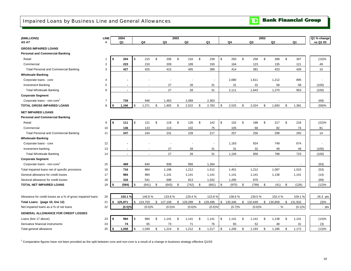<span id="page-19-0"></span>Impaired Loans by Business Line and General Allowances

**TD** Bank Financial Group

| (\$MILLIONS)                                               | <b>LINE</b>    | 2004           |               |         |             | 2003 |            |              |                |                  |         |             | 2002         |           |             | Q1 % change |
|------------------------------------------------------------|----------------|----------------|---------------|---------|-------------|------|------------|--------------|----------------|------------------|---------|-------------|--------------|-----------|-------------|-------------|
| AS AT                                                      | #              | Q1             |               | Q4      | Q3          |      | Q2         |              | Q <sub>1</sub> |                  | Q4      | Q3          |              | Q2        | Q1          | vs Q1 03    |
| <b>GROSS IMPAIRED LOANS</b>                                |                |                |               |         |             |      |            |              |                |                  |         |             |              |           |             |             |
| <b>Personal and Commercial Banking</b>                     |                |                |               |         |             |      |            |              |                |                  |         |             |              |           |             |             |
| Retail                                                     | $\overline{1}$ | \$<br>204      | \$            | 215     | \$<br>206   | \$   | 216        | \$           | 239            | \$               | 250     | \$<br>258   | \$           | 288       | \$<br>307   | (15)%       |
| Commercial                                                 | $\overline{2}$ | 223            |               | 210     | 209         |      | 189        |              | 150            |                  | 164     | 123         |              | 135       | 121         | 49          |
| <b>Total Personal and Commercial Banking</b>               | 3              | 427            |               | 425     | 415         |      | 405        |              | 389            |                  | 414     | 381         |              | 423       | 428         | 10          |
| <b>Wholesale Banking</b>                                   |                |                |               |         |             |      |            |              |                |                  |         |             |              |           |             |             |
| Corporate loans - core                                     | 4              |                |               |         |             |      |            |              | $\sim$         |                  | 2,080   | 1,611       |              | 1,212     | 895         |             |
| <b>Investment Banking</b>                                  | 5              |                |               |         | 27          |      | 28         |              | 31             |                  | 31      | 32          |              | 58        | 58          | (100)       |
| <b>Total Wholesale Banking</b>                             | 6              | $\blacksquare$ |               |         | 27          |      | 28         |              | 31             |                  | 2,111   | 1,643       |              | 1,270     | 953         | (100)       |
| <b>Corporate Segment</b>                                   |                |                |               |         |             |      |            |              |                |                  |         |             |              |           |             |             |
| Corporate loans - non-core                                 | $\overline{7}$ | 739            |               | 946     | 1,463       |      | 2,089      |              | 2,363          |                  |         |             |              |           |             | (69)        |
| TOTAL GROSS IMPAIRED LOANS                                 | 8              | 1,166<br>\$    | \$            | 1,371   | \$<br>1,905 | \$   | 2,522      | $\mathbb{S}$ | 2,783          | $\mathfrak{L}$   | 2,525   | \$<br>2,024 | \$           | 1,693     | \$<br>1,381 | (58)%       |
| <b>NET IMPAIRED LOANS</b>                                  |                |                |               |         |             |      |            |              |                |                  |         |             |              |           |             |             |
| <b>Personal and Commercial Banking</b>                     |                |                |               |         |             |      |            |              |                |                  |         |             |              |           |             |             |
| Retail                                                     | 9              | \$<br>111      | \$            | 121     | \$<br>118   | \$   | 126        | \$           | 142            | $$\mathfrak{S}$$ | 152     | \$<br>188   | \$           | 217       | \$<br>218   | (22)%       |
| Commercial                                                 | 10             | 136            |               | 123     | 113         |      | 102        |              | 75             |                  | 105     | 68          |              | 82        | 74          | 81          |
| <b>Total Personal and Commercial Banking</b>               | 11             | 247            |               | 244     | 231         |      | 228        |              | 217            |                  | 257     | 256         |              | 299       | 292         | 14          |
| <b>Wholesale Banking</b>                                   |                |                |               |         |             |      |            |              |                |                  |         |             |              |           |             |             |
| Corporate loans - core                                     | 12             |                |               |         |             |      |            |              | $\sim$         |                  | 1,163   | 924         |              | 749       | 674         |             |
| Investment banking                                         | 13             |                |               |         | 27          |      | 28         |              | 31             |                  | 31      | 32          |              | 49        | 49          | (100)       |
| <b>Total Wholesale Banking</b>                             | 14             | $\overline{a}$ |               |         | 27          |      | 28         |              | 31             |                  | 1,194   | 956         |              | 798       | 723         | (100)       |
| <b>Corporate Segment</b>                                   |                |                |               |         |             |      |            |              |                |                  |         |             |              |           |             |             |
| Corporate loans - non-core <sup>1</sup>                    | 15             | 469            |               | 640     | 938         |      | 956        |              | 1,264          |                  |         |             |              |           |             | (63)        |
| Total impaired loans net of specific provisions            | 16             | 716            |               | 884     | 1,196       |      | 1,212      |              | 1,512          |                  | 1,451   | 1,212       |              | 1,097     | 1,015       | (53)        |
| General allowance for credit losses                        | 17             | 984            |               | 984     | 1,141       |      | 1,141      |              | 1,141          |                  | 1,141   | 1,141       |              | 1,138     | 1,141       | (14)        |
| Sectoral allowance for credit losses                       | 18             | 316            |               | 541     | 698         |      | 813        |              | 1,032          |                  | 1,285   | 870         |              |           |             | (69)        |
| TOTAL NET IMPAIRED LOANS                                   | 19             | (584)          | \$            | (641)   | \$<br>(643) | \$   | (742)      | \$           | (661)          | \$               | (975)   | \$<br>(799) | $\mathbb{S}$ | (41)      | \$<br>(126) | (12)%       |
|                                                            |                |                |               |         |             |      |            |              |                |                  |         |             |              |           |             |             |
| Allowance for credit losses as a % of gross impaired loans | 20             | 150.1%         |               | 146.8%  | 133.8%      |      | 129.4%     |              | 123.8%         |                  | 138.6%  | 139.5%      |              | 102.4 %   | 109.1%      | 26.3 pts    |
| Total Loans (page 10, line 12)                             | 21             | \$<br>125,871  | $\mathfrak s$ | 124,703 | \$ 127,108  |      | \$ 129,289 |              | \$129,496      | \$               | 130,346 | \$132,649   |              | \$130,858 | \$131,932   | (3)%        |
| Net impaired loans as a % of net loans                     | 22             | (0.5)%         |               | (0.5)%  | (0.5)%      |      | (0.6)%     |              | (0.5)%         |                  | (0.7)%  | (0.6)%      |              | $-$ %     | (0.1)%      | - pts       |
| <b>GENERAL ALLOWANCE FOR CREDIT LOSSES</b>                 |                |                |               |         |             |      |            |              |                |                  |         |             |              |           |             |             |
| Loans (line 17 above)                                      | 23             | 984<br>\$      | \$            | 984     | \$<br>1,141 | \$   | 1,141      | \$           | 1,141          | \$               | 1,141   | \$<br>1,141 | \$           | 1,138     | \$<br>1,141 | (14)%       |
| Derivative financial instruments                           | 24             | 74             |               | 65      | 73          |      | 71         |              | 76             |                  | 65      | 52          |              | 48        | 31          | (3)         |
| Total general allowance                                    | 25             | 1,058<br>5     | \$            | 1,049   | \$<br>1,214 | \$   | 1,212      | \$           | 1,217          | \$               | 1,206   | \$<br>1,193 | \$           | 1,186     | \$<br>1,172 | (13)%       |
|                                                            |                |                |               |         |             |      |            |              |                |                  |         |             |              |           |             |             |

 $1$  Comparative figures have not been provided as the split between core and non-core is a result of a change in business strategy effective Q1/03